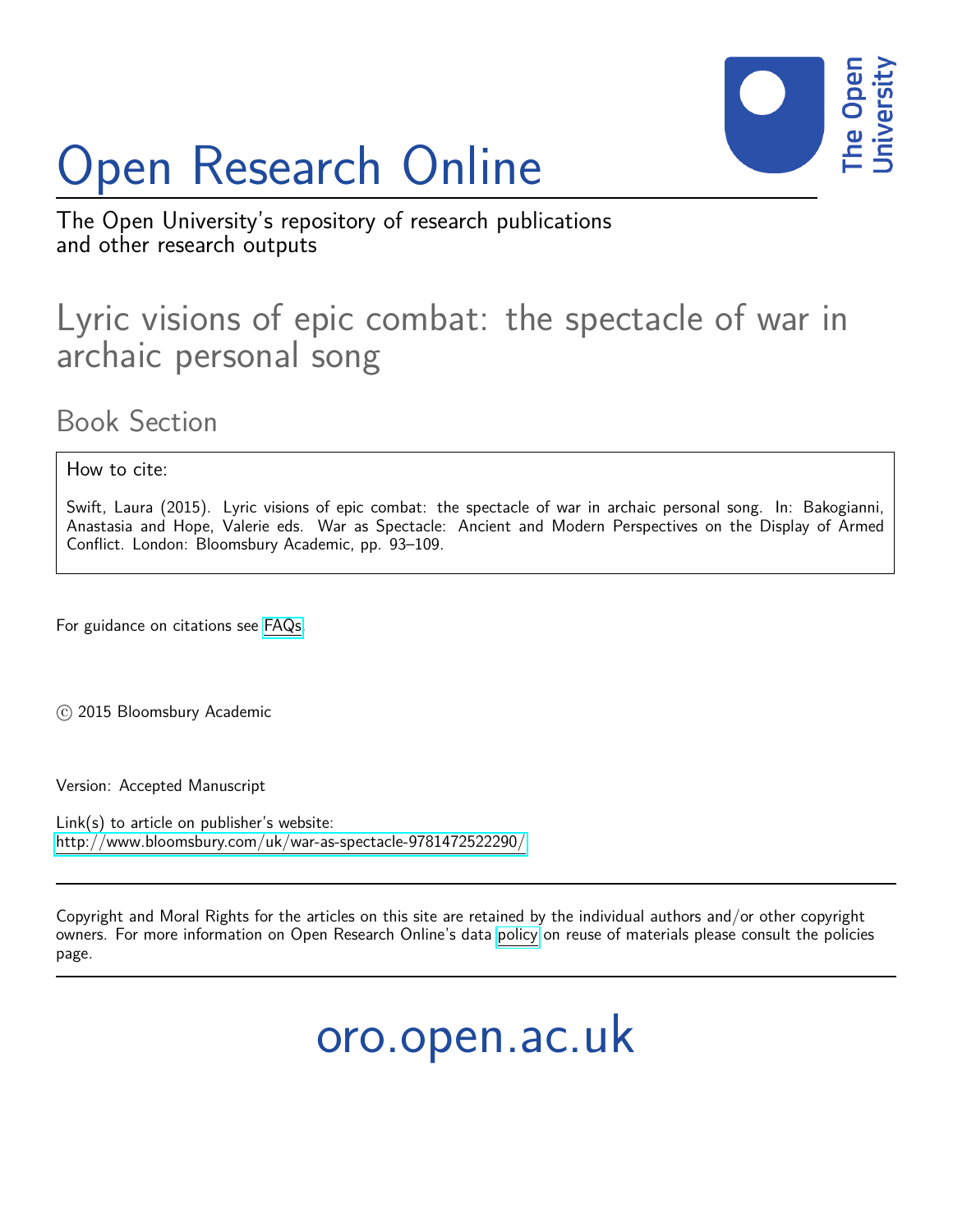# Open Research Online



The Open University's repository of research publications and other research outputs

# Lyric visions of epic combat: the spectacle of war in archaic personal song

Book Section

How to cite:

Swift, Laura (2015). Lyric visions of epic combat: the spectacle of war in archaic personal song. In: Bakogianni, Anastasia and Hope, Valerie eds. War as Spectacle: Ancient and Modern Perspectives on the Display of Armed Conflict. London: Bloomsbury Academic, pp. 93–109.

For guidance on citations see [FAQs.](http://oro.open.ac.uk/help/helpfaq.html)

 $\circ$  2015 Bloomsbury Academic

Version: Accepted Manuscript

Link(s) to article on publisher's website: <http://www.bloomsbury.com/uk/war-as-spectacle-9781472522290/>

Copyright and Moral Rights for the articles on this site are retained by the individual authors and/or other copyright owners. For more information on Open Research Online's data [policy](http://oro.open.ac.uk/policies.html) on reuse of materials please consult the policies page.

oro.open.ac.uk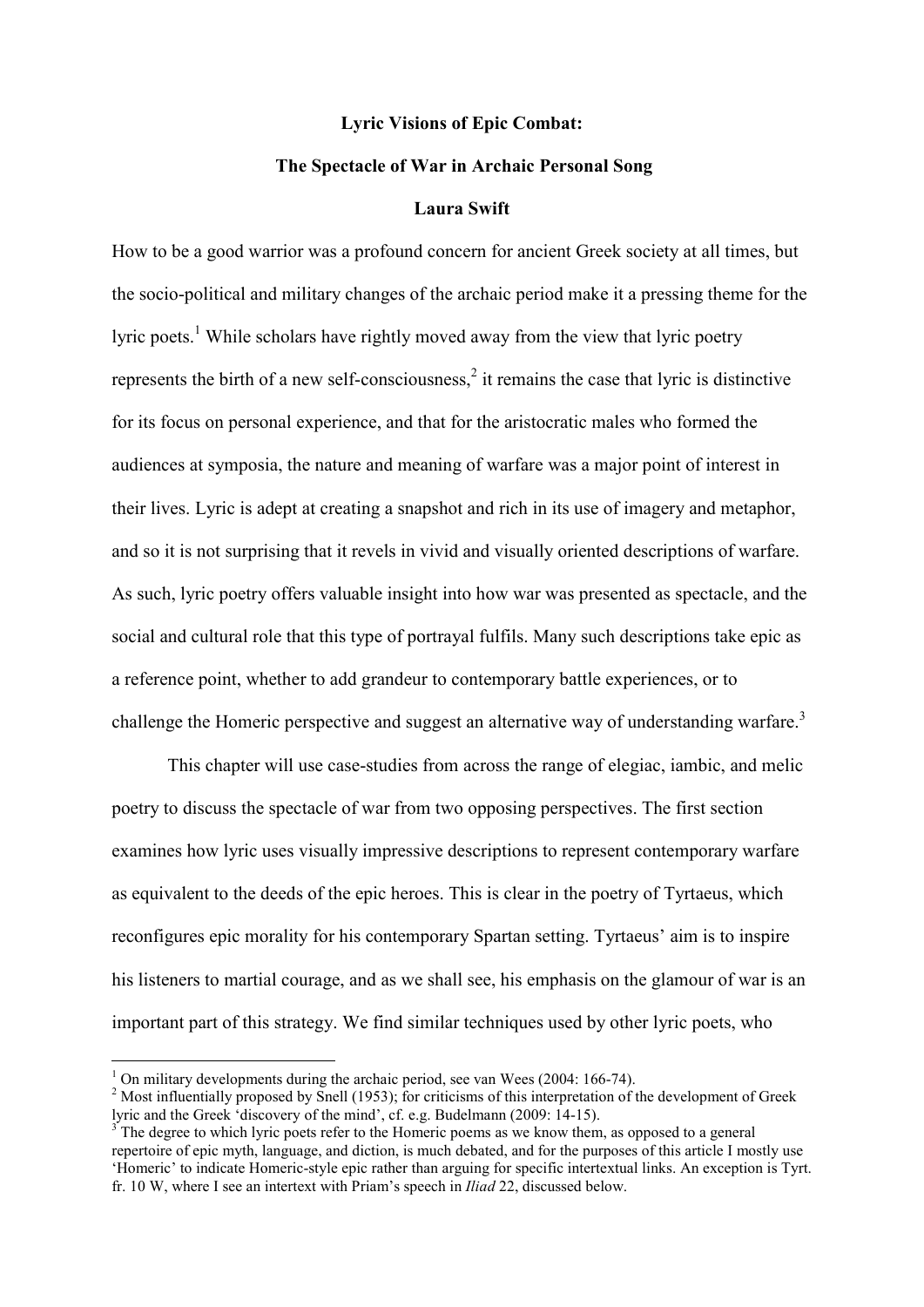## **Lyric Visions of Epic Combat:**

#### **The Spectacle of War in Archaic Personal Song**

#### **Laura Swift**

How to be a good warrior was a profound concern for ancient Greek society at all times, but the socio-political and military changes of the archaic period make it a pressing theme for the lyric poets.<sup>1</sup> While scholars have rightly moved away from the view that lyric poetry represents the birth of a new self-consciousness, $\frac{2}{3}$  it remains the case that lyric is distinctive for its focus on personal experience, and that for the aristocratic males who formed the audiences at symposia, the nature and meaning of warfare was a major point of interest in their lives. Lyric is adept at creating a snapshot and rich in its use of imagery and metaphor, and so it is not surprising that it revels in vivid and visually oriented descriptions of warfare. As such, lyric poetry offers valuable insight into how war was presented as spectacle, and the social and cultural role that this type of portrayal fulfils. Many such descriptions take epic as a reference point, whether to add grandeur to contemporary battle experiences, or to challenge the Homeric perspective and suggest an alternative way of understanding warfare.<sup>3</sup>

This chapter will use case-studies from across the range of elegiac, iambic, and melic poetry to discuss the spectacle of war from two opposing perspectives. The first section examines how lyric uses visually impressive descriptions to represent contemporary warfare as equivalent to the deeds of the epic heroes. This is clear in the poetry of Tyrtaeus, which reconfigures epic morality for his contemporary Spartan setting. Tyrtaeus' aim is to inspire his listeners to martial courage, and as we shall see, his emphasis on the glamour of war is an important part of this strategy. We find similar techniques used by other lyric poets, who

<u>.</u>

<sup>&</sup>lt;sup>1</sup> On military developments during the archaic period, see van Wees (2004: 166-74).

 $2$  Most influentially proposed by Snell (1953); for criticisms of this interpretation of the development of Greek lyric and the Greek 'discovery of the mind', cf. e.g. Budelmann (2009: 14-15).

<sup>&</sup>lt;sup>3</sup> The degree to which lyric poets refer to the Homeric poems as we know them, as opposed to a general repertoire of epic myth, language, and diction, is much debated, and for the purposes of this article I mostly use 'Homeric' to indicate Homeric-style epic rather than arguing for specific intertextual links. An exception is Tyrt. fr. 10 W, where I see an intertext with Priam's speech in *Iliad* 22, discussed below.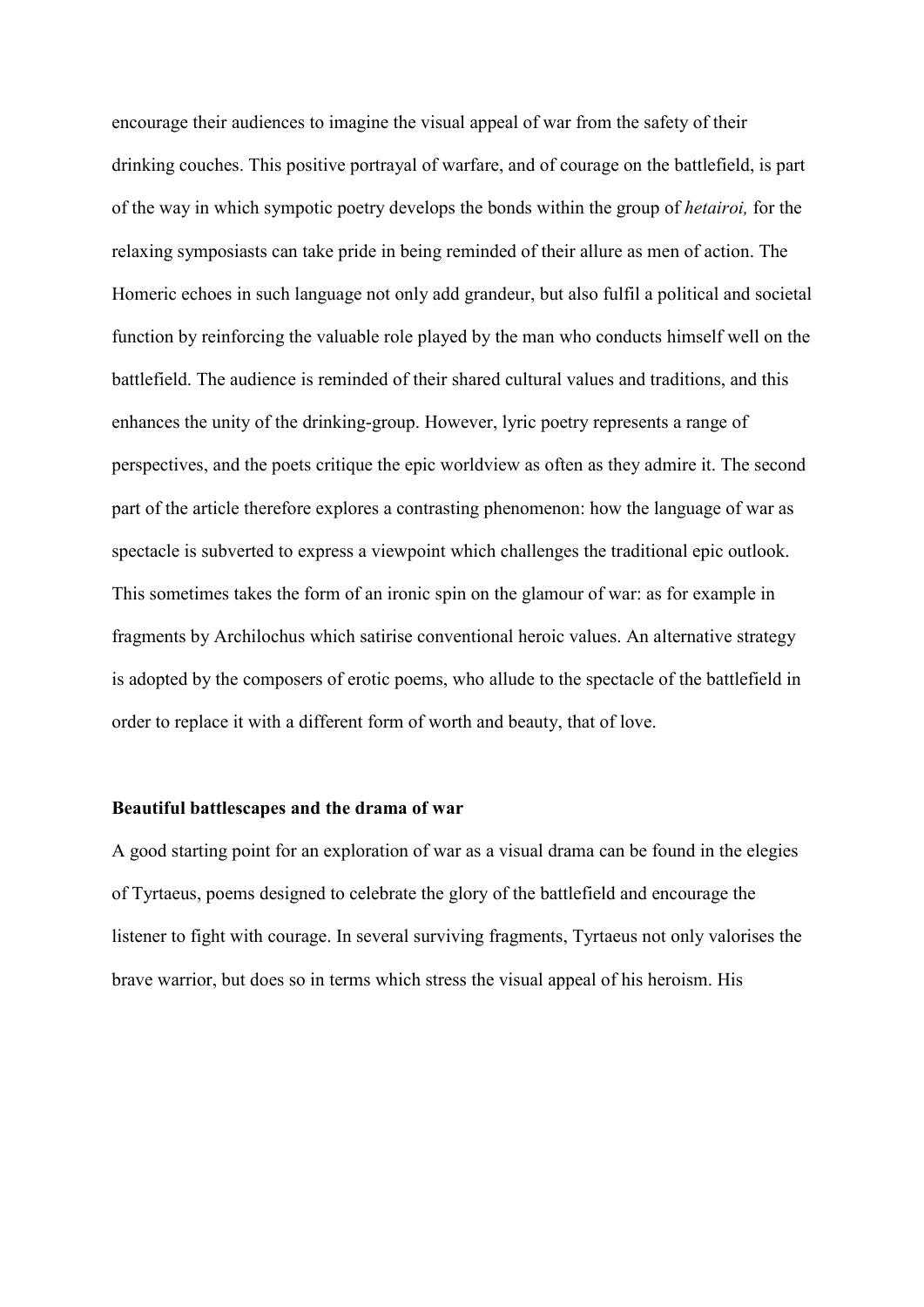encourage their audiences to imagine the visual appeal of war from the safety of their drinking couches. This positive portrayal of warfare, and of courage on the battlefield, is part of the way in which sympotic poetry develops the bonds within the group of *hetairoi,* for the relaxing symposiasts can take pride in being reminded of their allure as men of action. The Homeric echoes in such language not only add grandeur, but also fulfil a political and societal function by reinforcing the valuable role played by the man who conducts himself well on the battlefield. The audience is reminded of their shared cultural values and traditions, and this enhances the unity of the drinking-group. However, lyric poetry represents a range of perspectives, and the poets critique the epic worldview as often as they admire it. The second part of the article therefore explores a contrasting phenomenon: how the language of war as spectacle is subverted to express a viewpoint which challenges the traditional epic outlook. This sometimes takes the form of an ironic spin on the glamour of war: as for example in fragments by Archilochus which satirise conventional heroic values. An alternative strategy is adopted by the composers of erotic poems, who allude to the spectacle of the battlefield in order to replace it with a different form of worth and beauty, that of love.

# **Beautiful battlescapes and the drama of war**

A good starting point for an exploration of war as a visual drama can be found in the elegies of Tyrtaeus, poems designed to celebrate the glory of the battlefield and encourage the listener to fight with courage. In several surviving fragments, Tyrtaeus not only valorises the brave warrior, but does so in terms which stress the visual appeal of his heroism. His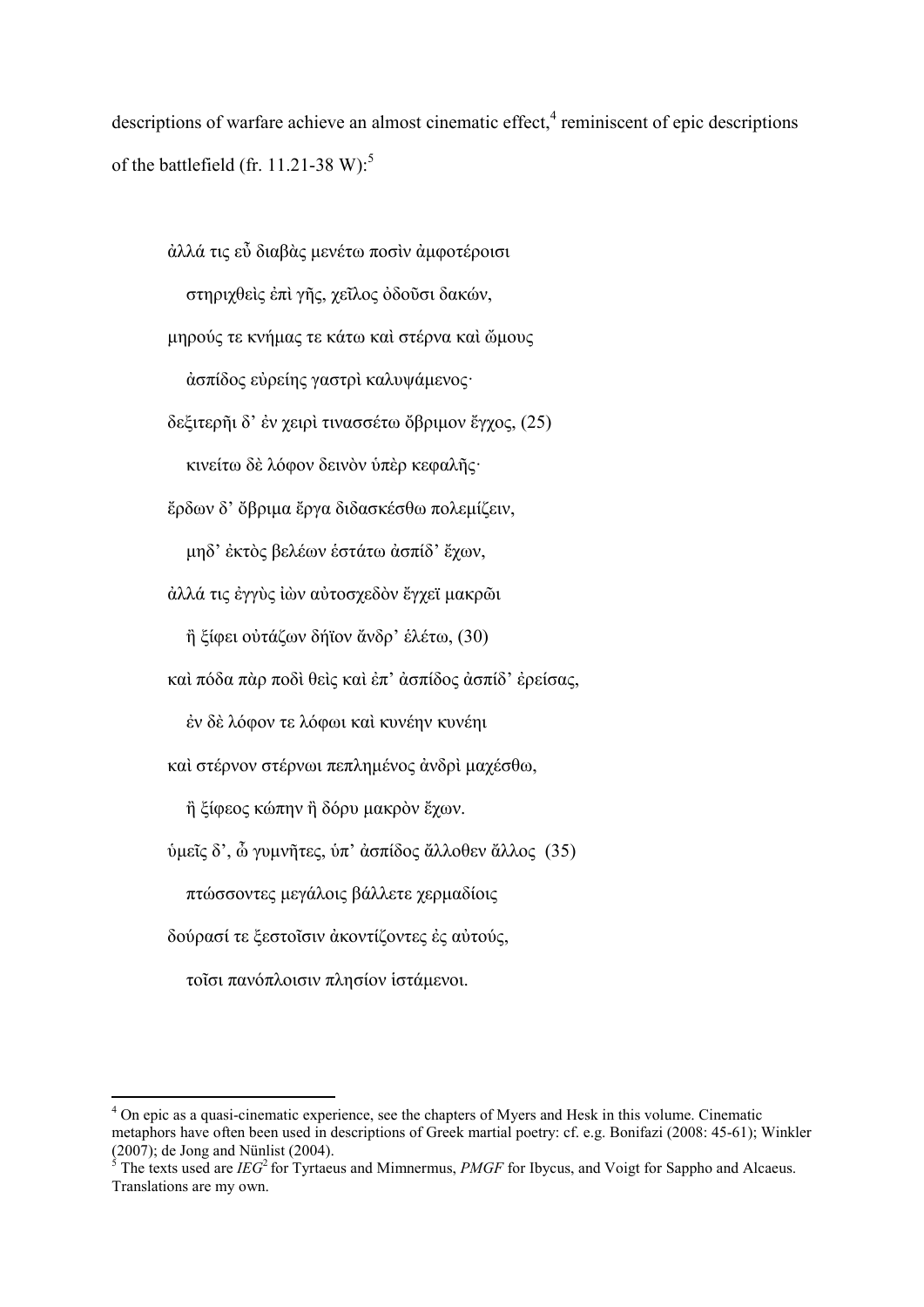descriptions of warfare achieve an almost cinematic effect, $<sup>4</sup>$  reminiscent of epic descriptions</sup> of the battlefield (fr. 11.21-38 W):<sup>5</sup>

ἀλλά τις εὖ διαβὰς µενέτω ποσὶν ἀµφοτέροισι στηριχθεὶς ἐπὶ γῆς, χεῖλος ὀδοῦσι δακών, µηρούς τε κνήµας τε κάτω καὶ στέρνα καὶ ὤµους ἀσπίδος εὐρείης γαστρὶ καλυψάµενος· δεξιτερῆι δ' ἐν χειρὶ τινασσέτω ὄβριµον ἔγχος, (25) κινείτω δὲ λόφον δεινὸν ὑπὲρ κεφαλῆς· ἔρδων δ' ὄβριµα ἔργα διδασκέσθω πολεµίζειν, µηδ' ἐκτὸς βελέων ἑστάτω ἀσπίδ' ἔχων, ἀλλά τις ἐγγὺς ἰὼν αὐτοσχεδὸν ἔγχεϊ µακρῶι ἢ ξίφει οὐτάζων δήϊον ἄνδρ' ἑλέτω, (30) καὶ πόδα πὰρ ποδὶ θεὶς καὶ ἐπ' ἀσπίδος ἀσπίδ' ἐρείσας, ἐν δὲ λόφον τε λόφωι καὶ κυνέην κυνέηι καὶ στέρνον στέρνωι πεπληµένος ἀνδρὶ µαχέσθω, ἢ ξίφεος κώπην ἢ δόρυ µακρὸν ἔχων. ὑµεῖς δ', ὦ γυµνῆτες, ὑπ' ἀσπίδος ἄλλοθεν ἄλλος (35) πτώσσοντες µεγάλοις βάλλετε χερµαδίοις δούρασί τε ξεστοῖσιν ἀκοντίζοντες ἐς αὐτούς, τοῖσι πανόπλοισιν πλησίον ἱστάµενοι.

<sup>-</sup><sup>4</sup> On epic as a quasi-cinematic experience, see the chapters of Myers and Hesk in this volume. Cinematic metaphors have often been used in descriptions of Greek martial poetry: cf. e.g. Bonifazi (2008: 45-61); Winkler  $(2007)$ ; de Jong and Nünlist (2004).

The texts used are *IEG*<sup>2</sup> for Tyrtaeus and Mimnermus, *PMGF* for Ibycus, and Voigt for Sappho and Alcaeus. Translations are my own.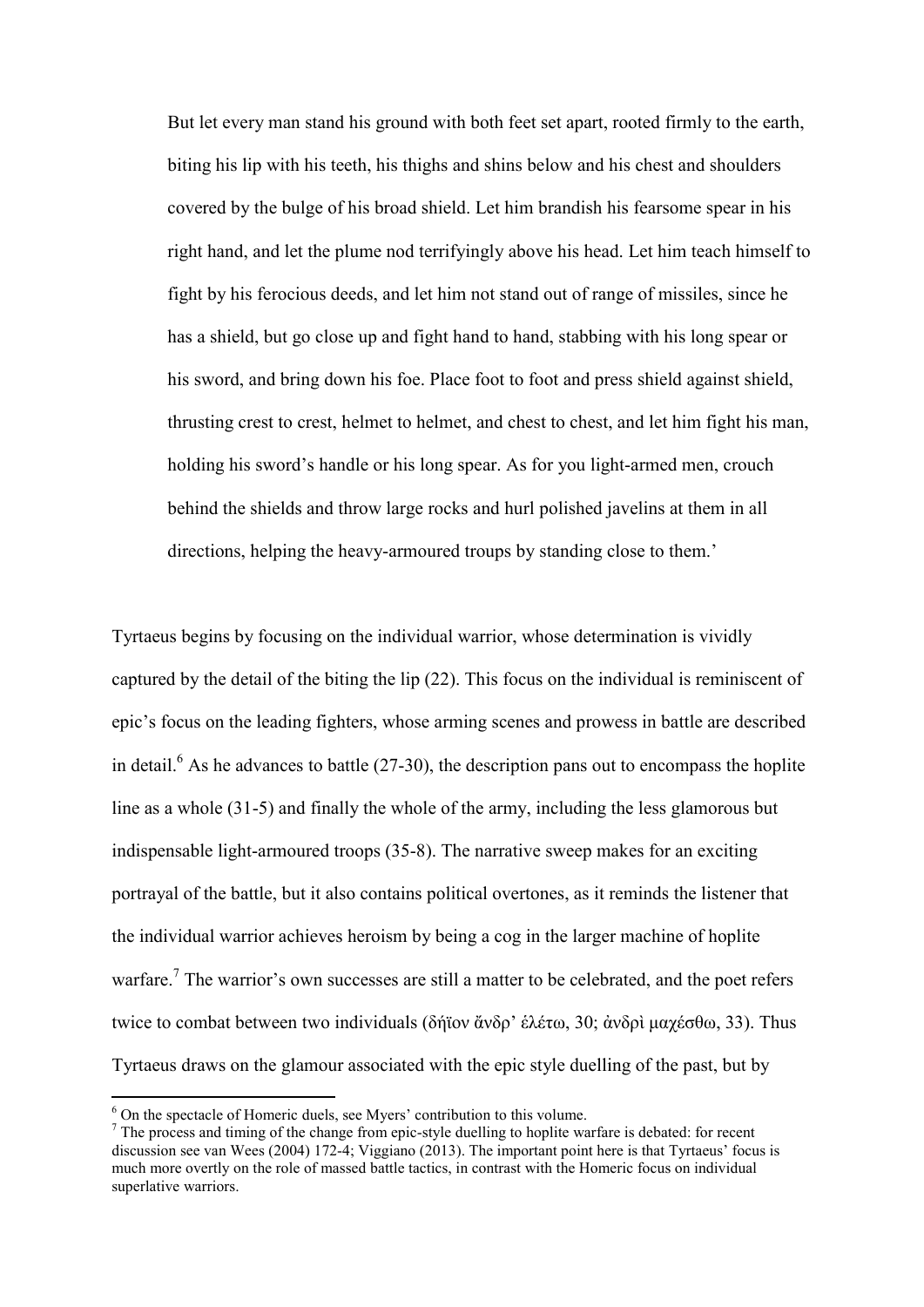But let every man stand his ground with both feet set apart, rooted firmly to the earth, biting his lip with his teeth, his thighs and shins below and his chest and shoulders covered by the bulge of his broad shield. Let him brandish his fearsome spear in his right hand, and let the plume nod terrifyingly above his head. Let him teach himself to fight by his ferocious deeds, and let him not stand out of range of missiles, since he has a shield, but go close up and fight hand to hand, stabbing with his long spear or his sword, and bring down his foe. Place foot to foot and press shield against shield, thrusting crest to crest, helmet to helmet, and chest to chest, and let him fight his man, holding his sword's handle or his long spear. As for you light-armed men, crouch behind the shields and throw large rocks and hurl polished javelins at them in all directions, helping the heavy-armoured troups by standing close to them.'

Tyrtaeus begins by focusing on the individual warrior, whose determination is vividly captured by the detail of the biting the lip (22). This focus on the individual is reminiscent of epic's focus on the leading fighters, whose arming scenes and prowess in battle are described in detail.<sup>6</sup> As he advances to battle  $(27-30)$ , the description pans out to encompass the hoplite line as a whole (31-5) and finally the whole of the army, including the less glamorous but indispensable light-armoured troops (35-8). The narrative sweep makes for an exciting portrayal of the battle, but it also contains political overtones, as it reminds the listener that the individual warrior achieves heroism by being a cog in the larger machine of hoplite warfare.<sup>7</sup> The warrior's own successes are still a matter to be celebrated, and the poet refers twice to combat between two individuals (δήϊον ἄνδρ' ἑλέτω, 30; ἀνδρὶ µαχέσθω, 33). Thus Tyrtaeus draws on the glamour associated with the epic style duelling of the past, but by

 6 On the spectacle of Homeric duels, see Myers' contribution to this volume.

 $<sup>7</sup>$  The process and timing of the change from epic-style duelling to hoplite warfare is debated: for recent</sup> discussion see van Wees (2004) 172-4; Viggiano (2013). The important point here is that Tyrtaeus' focus is much more overtly on the role of massed battle tactics, in contrast with the Homeric focus on individual superlative warriors.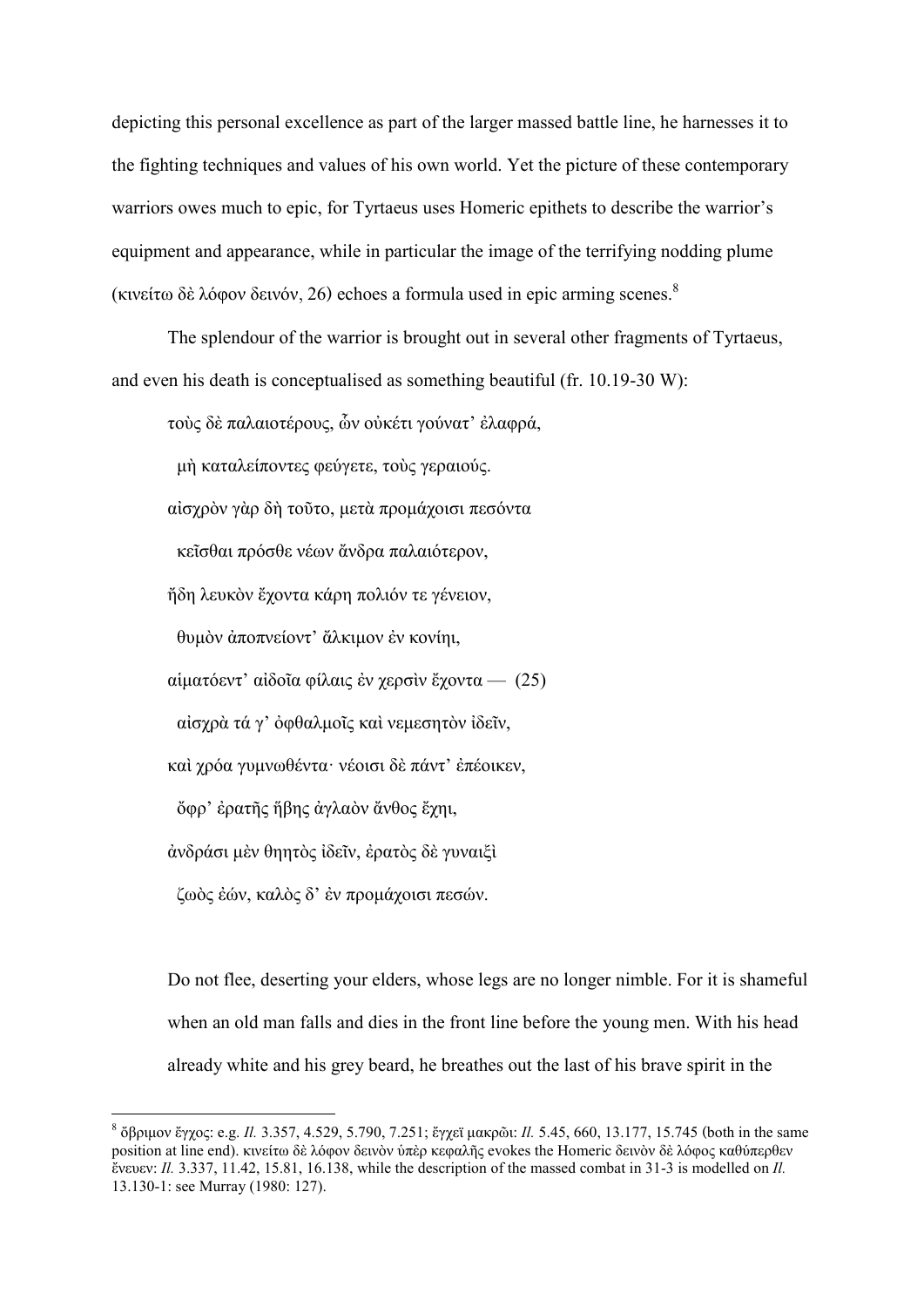depicting this personal excellence as part of the larger massed battle line, he harnesses it to the fighting techniques and values of his own world. Yet the picture of these contemporary warriors owes much to epic, for Tyrtaeus uses Homeric epithets to describe the warrior's equipment and appearance, while in particular the image of the terrifying nodding plume (κινείτω δὲ λόφον δεινόν, 26) echoes a formula used in epic arming scenes.<sup>8</sup>

The splendour of the warrior is brought out in several other fragments of Tyrtaeus, and even his death is conceptualised as something beautiful (fr. 10.19-30 W):

τοὺς δὲ παλαιοτέρους, ὧν οὐκέτι γούνατ' ἐλαφρά,

µὴ καταλείποντες φεύγετε, τοὺς γεραιούς.

αἰσχρὸν γὰρ δὴ τοῦτο, µετὰ προµάχοισι πεσόντα

κεῖσθαι πρόσθε νέων ἄνδρα παλαιότερον,

ἤδη λευκὸν ἔχοντα κάρη πολιόν τε γένειον,

θυµὸν ἀποπνείοντ' ἄλκιµον ἐν κονίηι,

αἱµατόεντ' αἰδοῖα φίλαις ἐν χερσὶν ἔχοντα — (25)

αἰσχρὰ τά γ' ὀφθαλµοῖς καὶ νεµεσητὸν ἰδεῖν,

καὶ χρόα γυµνωθέντα· νέοισι δὲ πάντ' ἐπέοικεν,

ὄφρ' ἐρατῆς ἥβης ἀγλαὸν ἄνθος ἔχηι,

ἀνδράσι µὲν θηητὸς ἰδεῖν, ἐρατὸς δὲ γυναιξὶ

ζωὸς ἐών, καλὸς δ' ἐν προµάχοισι πεσών.

-

Do not flee, deserting your elders, whose legs are no longer nimble. For it is shameful when an old man falls and dies in the front line before the young men. With his head already white and his grey beard, he breathes out the last of his brave spirit in the

<sup>8</sup> ὄβριµον ἔγχος: e.g. *Il.* 3.357, 4.529, 5.790, 7.251; ἔγχεϊ µακρῶι: *Il.* 5.45, 660, 13.177, 15.745 (both in the same position at line end). κινείτω δὲ λόφον δεινὸν ὑπὲρ κεφαλῆς evokes the Homeric δεινὸν δὲ λόφος καθύπερθεν ἔνευεν: *Il.* 3.337, 11.42, 15.81, 16.138, while the description of the massed combat in 31-3 is modelled on *Il.*  13.130-1: see Murray (1980: 127).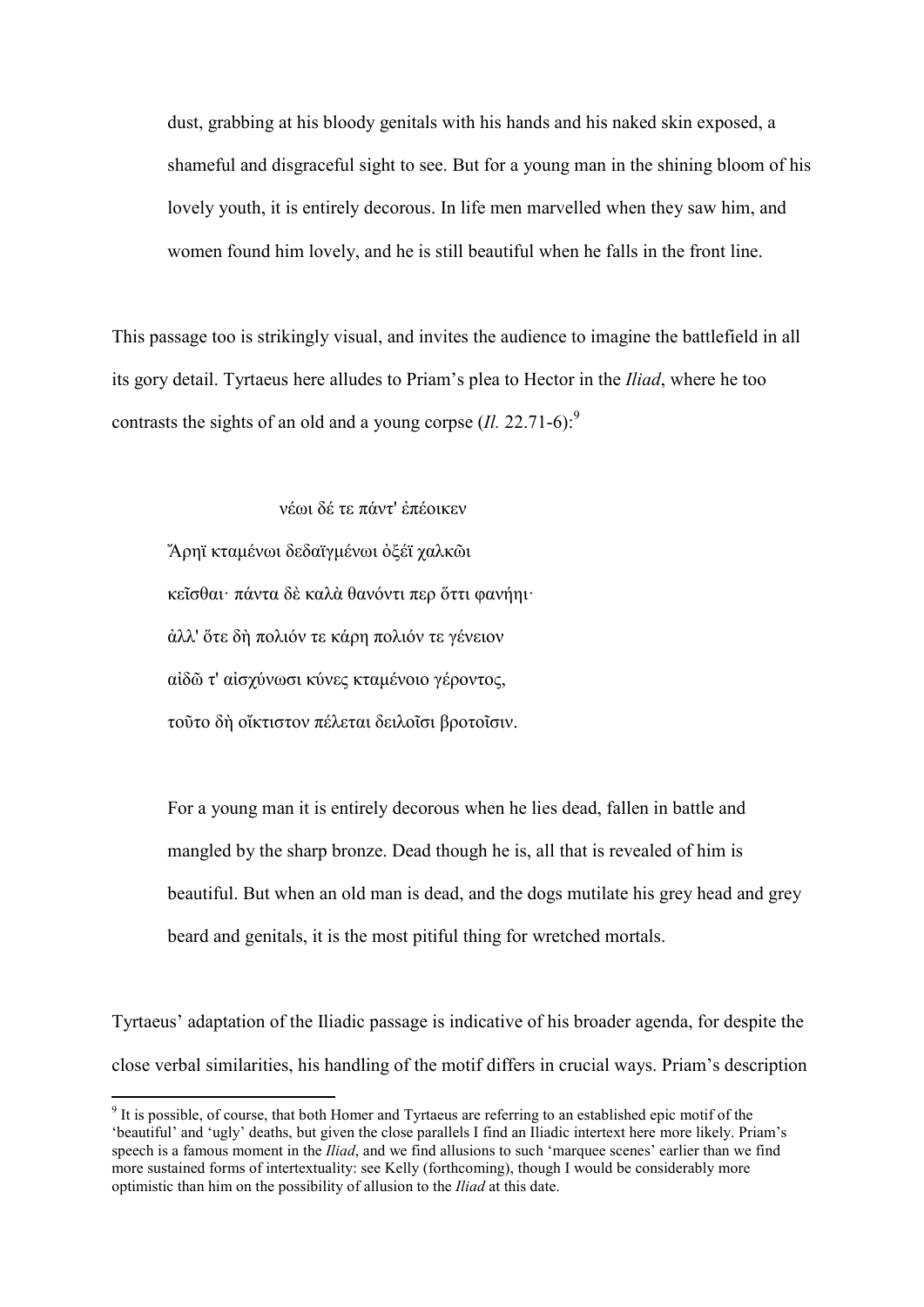dust, grabbing at his bloody genitals with his hands and his naked skin exposed, a shameful and disgraceful sight to see. But for a young man in the shining bloom of his lovely youth, it is entirely decorous. In life men marvelled when they saw him, and women found him lovely, and he is still beautiful when he falls in the front line.

This passage too is strikingly visual, and invites the audience to imagine the battlefield in all its gory detail. Tyrtaeus here alludes to Priam's plea to Hector in the *Iliad*, where he too contrasts the sights of an old and a young corpse (*Il.* 22.71-6):<sup>9</sup>

# νέωι δέ τε πάντ' ἐπέοικεν

Ἄρηϊ κταµένωι δεδαϊγµένωι ὀξέϊ χαλκῶι κεῖσθαι· πάντα δὲ καλὰ θανόντι περ ὅττι φανήηι· ἀλλ' ὅτε δὴ πολιόν τε κάρη πολιόν τε γένειον αἰδῶ τ' αἰσχύνωσι κύνες κταµένοιο γέροντος, τοῦτο δὴ οἴκτιστον πέλεται δειλοῖσι βροτοῖσιν.

-

For a young man it is entirely decorous when he lies dead, fallen in battle and mangled by the sharp bronze. Dead though he is, all that is revealed of him is beautiful. But when an old man is dead, and the dogs mutilate his grey head and grey beard and genitals, it is the most pitiful thing for wretched mortals.

Tyrtaeus' adaptation of the Iliadic passage is indicative of his broader agenda, for despite the close verbal similarities, his handling of the motif differs in crucial ways. Priam's description

<sup>&</sup>lt;sup>9</sup> It is possible, of course, that both Homer and Tyrtaeus are referring to an established epic motif of the 'beautiful' and 'ugly' deaths, but given the close parallels I find an Iliadic intertext here more likely. Priam's speech is a famous moment in the *Iliad*, and we find allusions to such 'marquee scenes' earlier than we find more sustained forms of intertextuality: see Kelly (forthcoming), though I would be considerably more optimistic than him on the possibility of allusion to the *Iliad* at this date.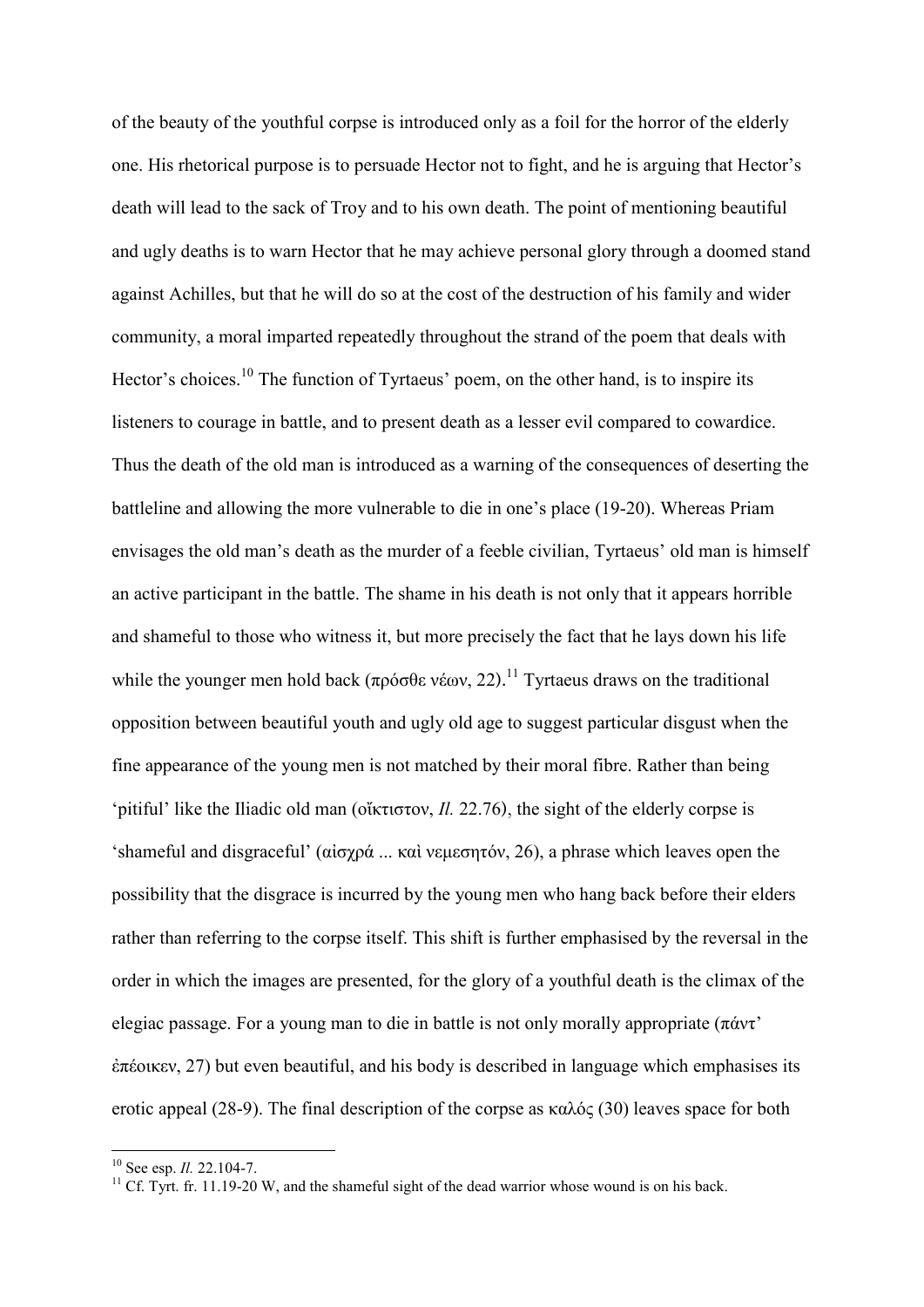of the beauty of the youthful corpse is introduced only as a foil for the horror of the elderly one. His rhetorical purpose is to persuade Hector not to fight, and he is arguing that Hector's death will lead to the sack of Troy and to his own death. The point of mentioning beautiful and ugly deaths is to warn Hector that he may achieve personal glory through a doomed stand against Achilles, but that he will do so at the cost of the destruction of his family and wider community, a moral imparted repeatedly throughout the strand of the poem that deals with Hector's choices.<sup>10</sup> The function of Tyrtaeus' poem, on the other hand, is to inspire its listeners to courage in battle, and to present death as a lesser evil compared to cowardice. Thus the death of the old man is introduced as a warning of the consequences of deserting the battleline and allowing the more vulnerable to die in one's place (19-20). Whereas Priam envisages the old man's death as the murder of a feeble civilian, Tyrtaeus' old man is himself an active participant in the battle. The shame in his death is not only that it appears horrible and shameful to those who witness it, but more precisely the fact that he lays down his life while the younger men hold back ( $\pi \rho \acute{o} \sigma \theta \acute{\epsilon}$  νέων, 22).<sup>11</sup> Tyrtaeus draws on the traditional opposition between beautiful youth and ugly old age to suggest particular disgust when the fine appearance of the young men is not matched by their moral fibre. Rather than being 'pitiful' like the Iliadic old man (οἴκτιστον, *Il.* 22.76), the sight of the elderly corpse is 'shameful and disgraceful' (αἰσχρά ... καὶ νεµεσητόν, 26), a phrase which leaves open the possibility that the disgrace is incurred by the young men who hang back before their elders rather than referring to the corpse itself. This shift is further emphasised by the reversal in the order in which the images are presented, for the glory of a youthful death is the climax of the elegiac passage. For a young man to die in battle is not only morally appropriate (πάντ' ἐπέοικεν, 27) but even beautiful, and his body is described in language which emphasises its erotic appeal (28-9). The final description of the corpse as καλός (30) leaves space for both

<sup>10</sup> See esp. *Il.* 22.104-7.

<sup>&</sup>lt;sup>11</sup> Cf. Tyrt. fr. 11.19-20 W, and the shameful sight of the dead warrior whose wound is on his back.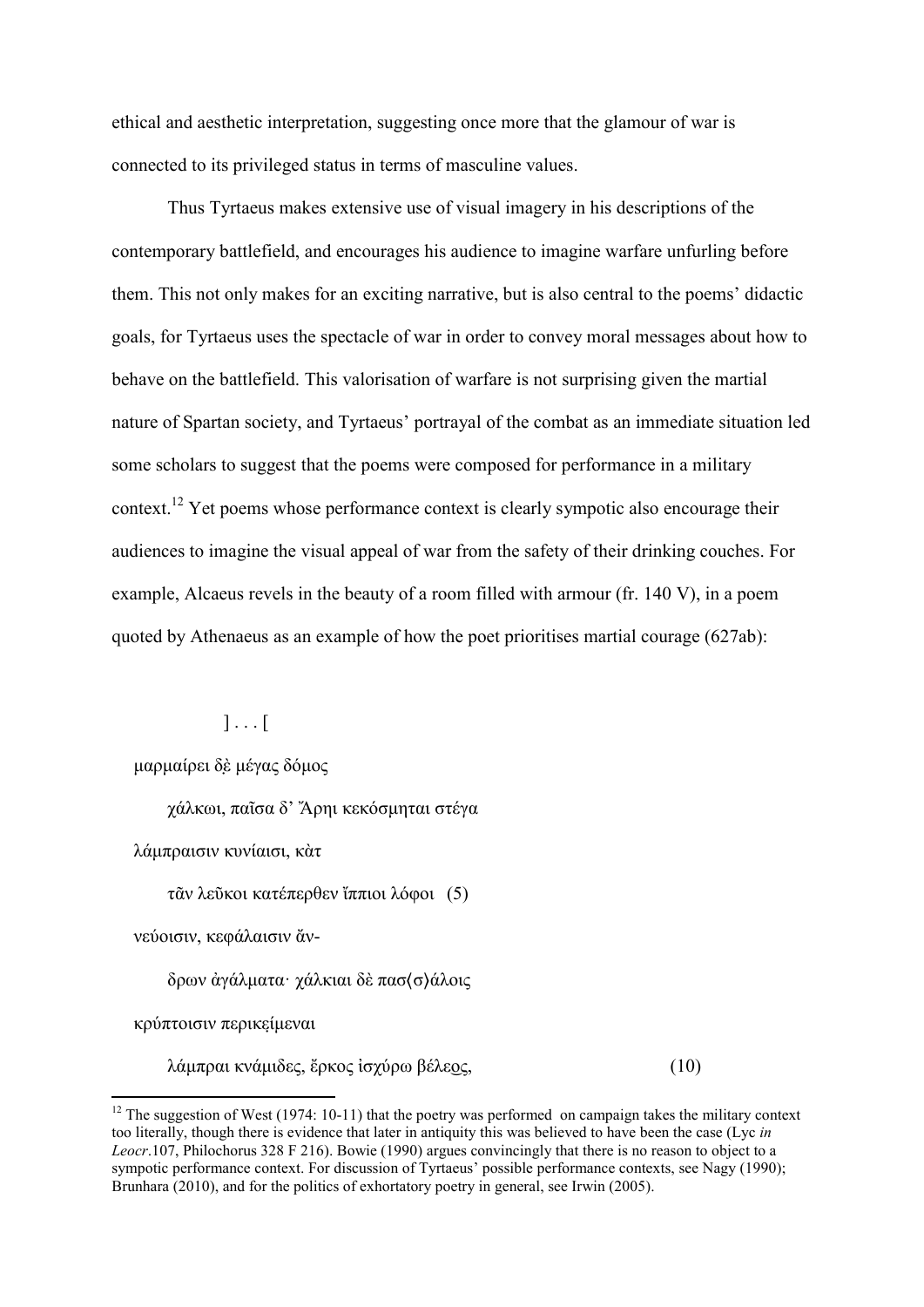ethical and aesthetic interpretation, suggesting once more that the glamour of war is connected to its privileged status in terms of masculine values.

Thus Tyrtaeus makes extensive use of visual imagery in his descriptions of the contemporary battlefield, and encourages his audience to imagine warfare unfurling before them. This not only makes for an exciting narrative, but is also central to the poems' didactic goals, for Tyrtaeus uses the spectacle of war in order to convey moral messages about how to behave on the battlefield. This valorisation of warfare is not surprising given the martial nature of Spartan society, and Tyrtaeus' portrayal of the combat as an immediate situation led some scholars to suggest that the poems were composed for performance in a military context.<sup>12</sup> Yet poems whose performance context is clearly sympotic also encourage their audiences to imagine the visual appeal of war from the safety of their drinking couches. For example, Alcaeus revels in the beauty of a room filled with armour (fr. 140 V), in a poem quoted by Athenaeus as an example of how the poet prioritises martial courage (627ab):

 $] \ldots$   $[$ 

µαρµαίρει δὲ̣ µέγας δόµος

χάλκωι, παῖσα δ' Ἄρηι κεκόσµηται στέγα

λάµπραισιν κυνίαισι, κὰτ

τᾶν λεῦκοι κατέπερθεν ἴππιοι λόφοι (5)

νεύοισιν, κεφάλαισιν ἄν-

δρων ἀγάλµατα· χάλκιαι δὲ πασ⟨σ⟩άλοις

κρύπτοισιν περικείμεναι

-

λάμπραι κνάμιδες, ἔρκος ἰσχύρω βέλεος, (10)

 $12$  The suggestion of West (1974: 10-11) that the poetry was performed on campaign takes the military context too literally, though there is evidence that later in antiquity this was believed to have been the case (Lyc *in Leocr*.107, Philochorus 328 F 216). Bowie (1990) argues convincingly that there is no reason to object to a sympotic performance context. For discussion of Tyrtaeus' possible performance contexts, see Nagy (1990); Brunhara (2010), and for the politics of exhortatory poetry in general, see Irwin (2005).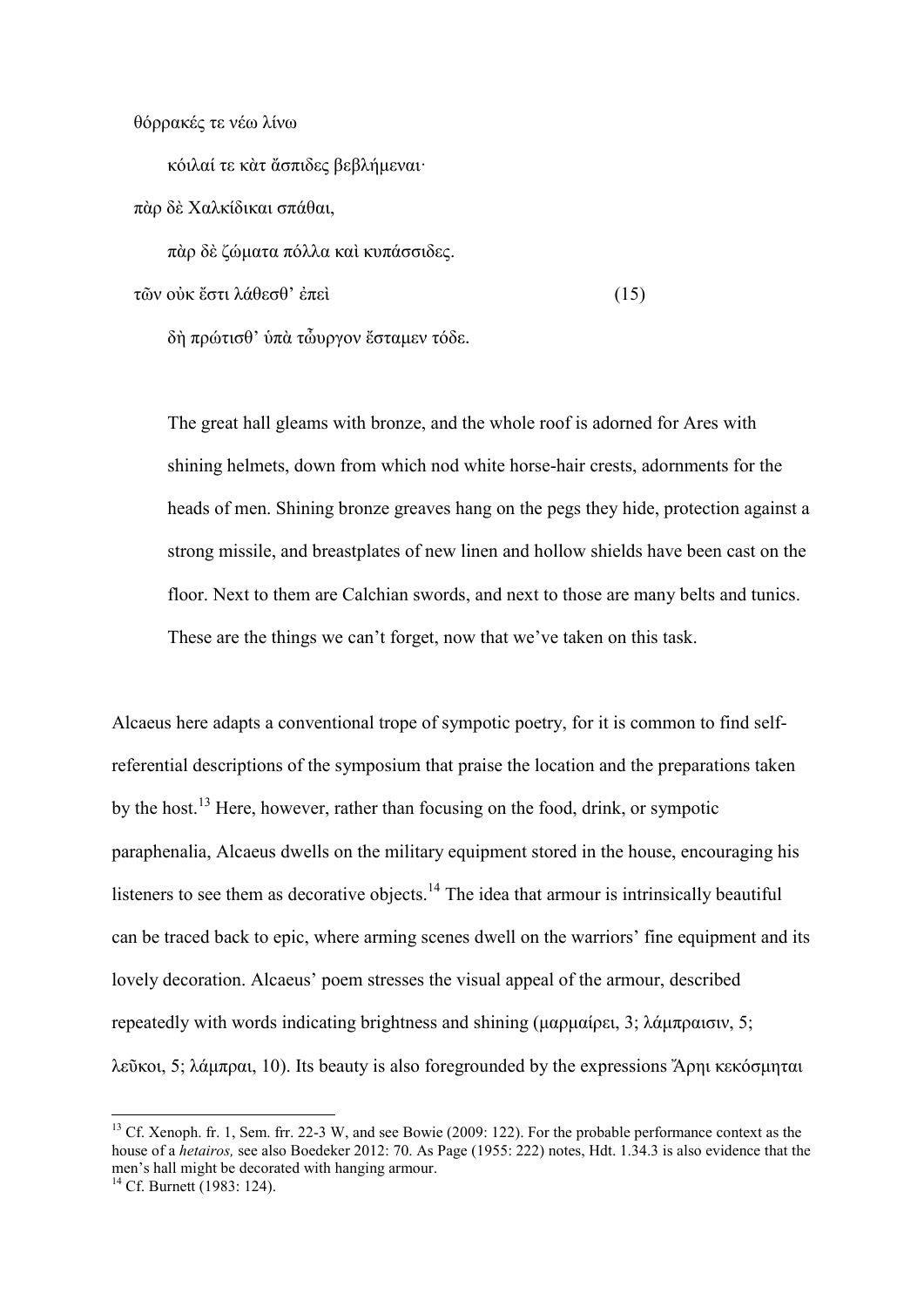θόρρακές τε νέω λίνω

κόιλαί τε κὰτ ἄσπιδες βεβλήµεναι·

πὰρ δὲ Χαλκίδικαι σπάθαι,

πὰρ δὲ ζώµατα πόλλα καὶ κυπάσσιδες.

τῶν οὐκ ἔστι λάθεσθ' ἐπεὶ (15)

δὴ πρώτισθ' ὑπὰ τὦυργον ἔσταµεν τόδε.

The great hall gleams with bronze, and the whole roof is adorned for Ares with shining helmets, down from which nod white horse-hair crests, adornments for the heads of men. Shining bronze greaves hang on the pegs they hide, protection against a strong missile, and breastplates of new linen and hollow shields have been cast on the floor. Next to them are Calchian swords, and next to those are many belts and tunics. These are the things we can't forget, now that we've taken on this task.

Alcaeus here adapts a conventional trope of sympotic poetry, for it is common to find selfreferential descriptions of the symposium that praise the location and the preparations taken by the host.<sup>13</sup> Here, however, rather than focusing on the food, drink, or sympotic paraphenalia, Alcaeus dwells on the military equipment stored in the house, encouraging his listeners to see them as decorative objects.<sup>14</sup> The idea that armour is intrinsically beautiful can be traced back to epic, where arming scenes dwell on the warriors' fine equipment and its lovely decoration. Alcaeus' poem stresses the visual appeal of the armour, described repeatedly with words indicating brightness and shining (µαρµαίρει, 3; λάµπραισιν, 5;  $\lambda$ εῦκοι, 5; λάμπραι, 10). Its beauty is also foregrounded by the expressions Άρηι κεκόσμηται

<sup>&</sup>lt;sup>13</sup> Cf. Xenoph. fr. 1, Sem. frr. 22-3 W, and see Bowie (2009: 122). For the probable performance context as the house of a *hetairos,* see also Boedeker 2012: 70. As Page (1955: 222) notes, Hdt. 1.34.3 is also evidence that the men's hall might be decorated with hanging armour.

 $14$  Cf. Burnett (1983: 124).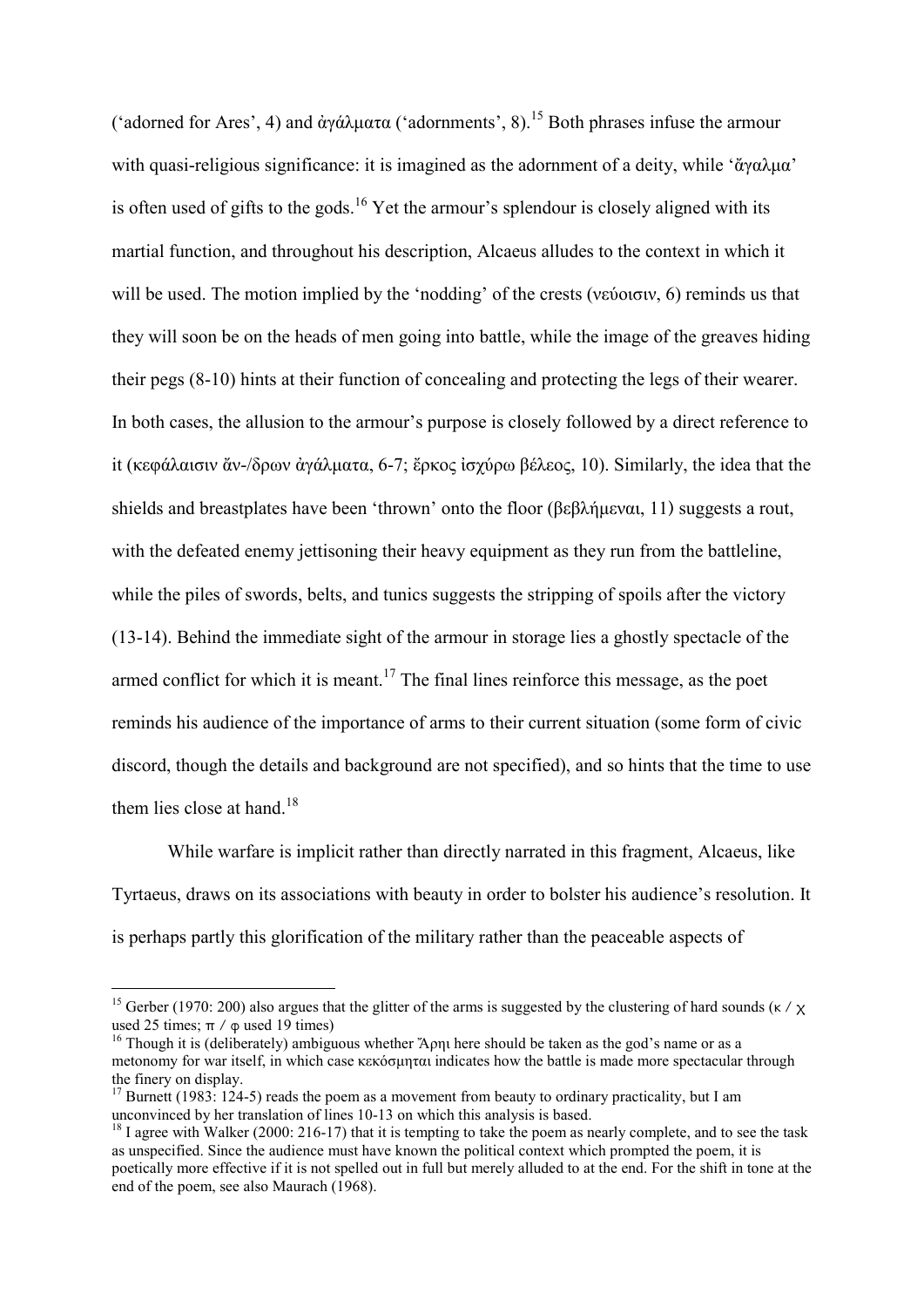('adorned for Ares', 4) and ἀγάλματα ('adornments', 8).<sup>15</sup> Both phrases infuse the armour with quasi-religious significance: it is imagined as the adornment of a deity, while 'ἄναλμα' is often used of gifts to the gods.<sup>16</sup> Yet the armour's splendour is closely aligned with its martial function, and throughout his description, Alcaeus alludes to the context in which it will be used. The motion implied by the 'nodding' of the crests (νεύοισιν, 6) reminds us that they will soon be on the heads of men going into battle, while the image of the greaves hiding their pegs (8-10) hints at their function of concealing and protecting the legs of their wearer. In both cases, the allusion to the armour's purpose is closely followed by a direct reference to it (κεφάλαισιν ἄν-/δρων ἀγάλµατα, 6-7; ἔρκος ἰσχύρω βέλεος, 10). Similarly, the idea that the shields and breastplates have been 'thrown' onto the floor (βεβλήμεναι, 11) suggests a rout, with the defeated enemy jettisoning their heavy equipment as they run from the battleline, while the piles of swords, belts, and tunics suggests the stripping of spoils after the victory (13-14). Behind the immediate sight of the armour in storage lies a ghostly spectacle of the armed conflict for which it is meant.<sup>17</sup> The final lines reinforce this message, as the poet reminds his audience of the importance of arms to their current situation (some form of civic discord, though the details and background are not specified), and so hints that the time to use them lies close at hand.<sup>18</sup>

While warfare is implicit rather than directly narrated in this fragment, Alcaeus, like Tyrtaeus, draws on its associations with beauty in order to bolster his audience's resolution. It is perhaps partly this glorification of the military rather than the peaceable aspects of

<sup>&</sup>lt;sup>15</sup> Gerber (1970: 200) also argues that the glitter of the arms is suggested by the clustering of hard sounds ( $\kappa$  /  $\chi$ used 25 times;  $\pi / \varphi$  used 19 times)

<sup>&</sup>lt;sup>16</sup> Though it is (deliberately) ambiguous whether Άρηι here should be taken as the god's name or as a metonomy for war itself, in which case κεκόσμηται indicates how the battle is made more spectacular through the finery on display.

<sup>&</sup>lt;sup>17</sup> Burnett (1983: 124-5) reads the poem as a movement from beauty to ordinary practicality, but I am unconvinced by her translation of lines 10-13 on which this analysis is based.

<sup>&</sup>lt;sup>18</sup> I agree with Walker (2000: 216-17) that it is tempting to take the poem as nearly complete, and to see the task as unspecified. Since the audience must have known the political context which prompted the poem, it is poetically more effective if it is not spelled out in full but merely alluded to at the end. For the shift in tone at the end of the poem, see also Maurach (1968).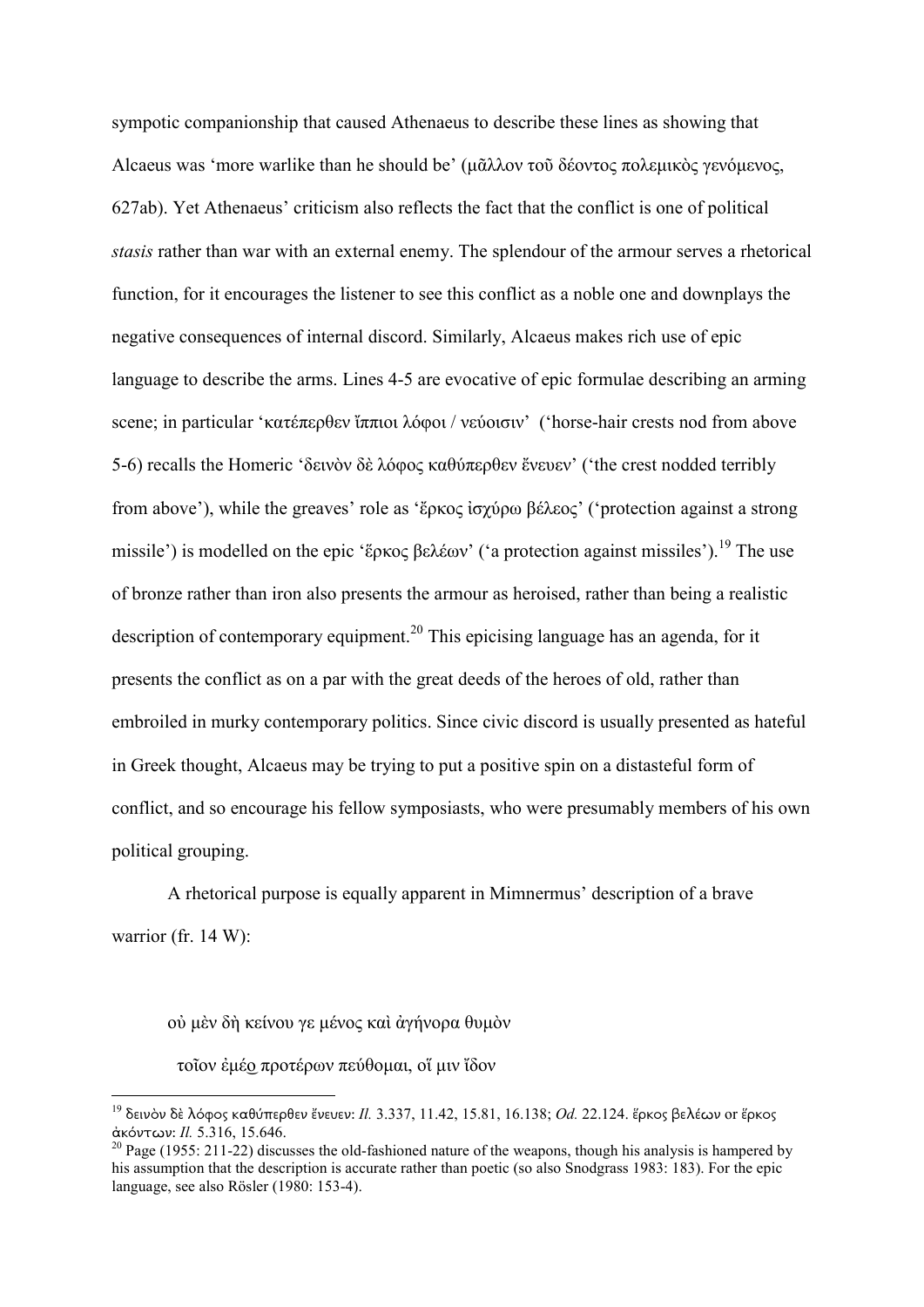sympotic companionship that caused Athenaeus to describe these lines as showing that Alcaeus was 'more warlike than he should be' (μᾶλλον τοῦ δέοντος πολεμικὸς γενόμενος, 627ab). Yet Athenaeus' criticism also reflects the fact that the conflict is one of political *stasis* rather than war with an external enemy. The splendour of the armour serves a rhetorical function, for it encourages the listener to see this conflict as a noble one and downplays the negative consequences of internal discord. Similarly, Alcaeus makes rich use of epic language to describe the arms. Lines 4-5 are evocative of epic formulae describing an arming scene; in particular 'κατέπερθεν ἴππιοι λόφοι / νεύοισιν' ('horse-hair crests nod from above 5-6) recalls the Homeric 'δεινὸν δὲ λόφος καθύπερθεν ἔνευεν' ('the crest nodded terribly from above'), while the greaves' role as 'ἔρκος ἰσχύρω βέλεος' ('protection against a strong missile') is modelled on the epic 'ἕρκος βελέων' ('a protection against missiles').<sup>19</sup> The use of bronze rather than iron also presents the armour as heroised, rather than being a realistic description of contemporary equipment.<sup>20</sup> This epicising language has an agenda, for it presents the conflict as on a par with the great deeds of the heroes of old, rather than embroiled in murky contemporary politics. Since civic discord is usually presented as hateful in Greek thought, Alcaeus may be trying to put a positive spin on a distasteful form of conflict, and so encourage his fellow symposiasts, who were presumably members of his own political grouping.

A rhetorical purpose is equally apparent in Mimnermus' description of a brave warrior (fr. 14 W):

οὐ µὲν δὴ κείνου γε µένος καὶ ἀγήνορα θυµὸν

τοῖον ἐµέ͜ο προτέρων πεύθοµαι, οἵ µιν ἴδον

<sup>19</sup> δεινὸν δὲ λόφος καθύπερθεν ἔνευεν: *Il.* 3.337, 11.42, 15.81, 16.138; *Od.* 22.124. ἕρκος βελέων or ἕρκος ἀκόντων: *Il.* 5.316, 15.646.

<sup>&</sup>lt;sup>20</sup> Page (1955: 211-22) discusses the old-fashioned nature of the weapons, though his analysis is hampered by his assumption that the description is accurate rather than poetic (so also Snodgrass 1983: 183). For the epic language, see also Rösler (1980: 153-4).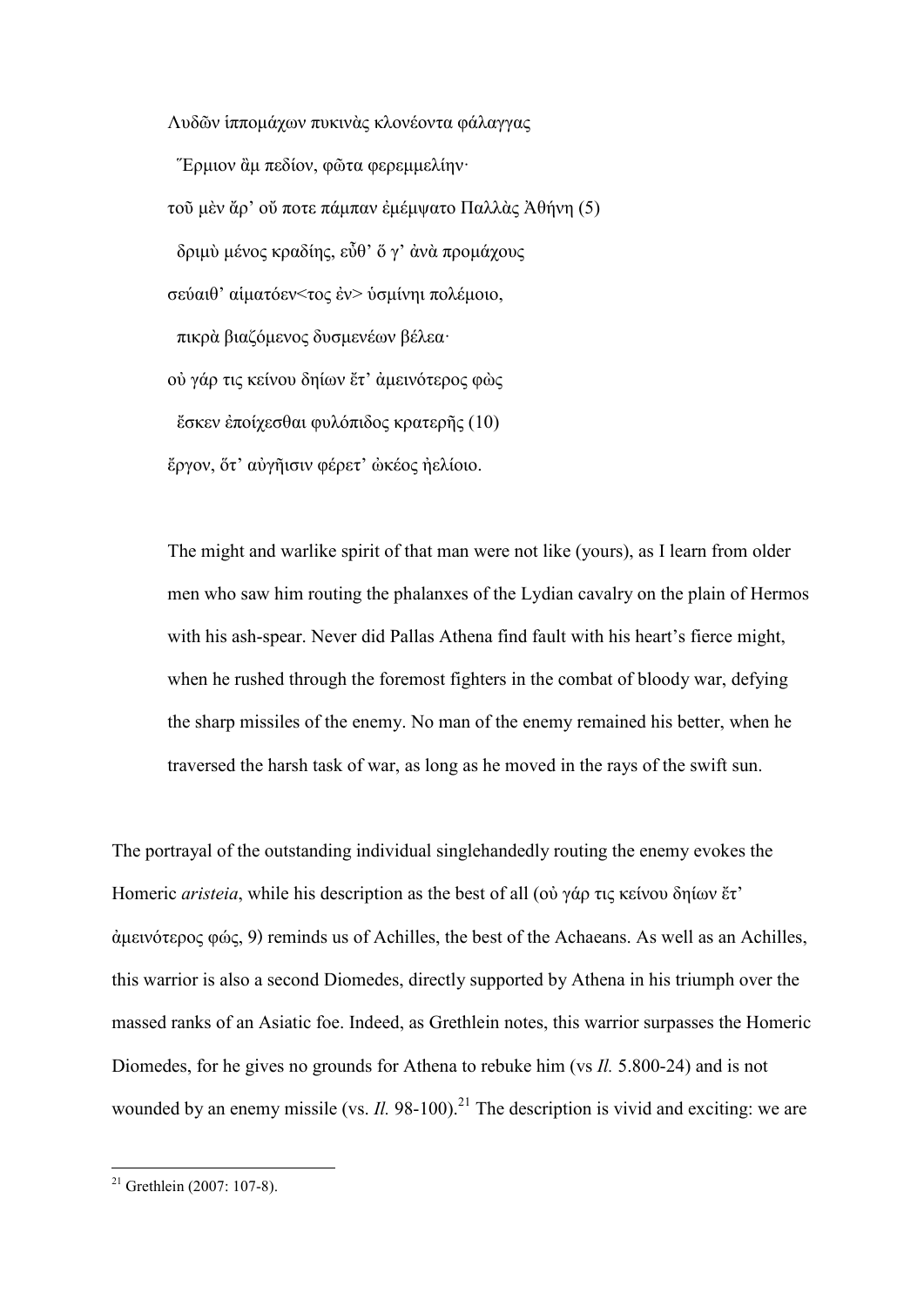Λυδῶν ἱπποµάχων πυκινὰς κλονέοντα φάλαγγας Ἕρµιον ἂµ πεδίον, φῶτα φερεµµελίην· τοῦ µὲν ἄρ' οὔ ποτε πάµπαν ἐµέµψατο Παλλὰς Ἀθήνη (5) δριµὺ µένος κραδίης, εὖθ' ὅ γ' ἀνὰ προµάχους σεύαιθ' αἱµατόεν<τος ἐν> ὑσµίνηι πολέµοιο, πικρὰ βιαζόµενος δυσµενέων βέλεα· οὐ γάρ τις κείνου δηίων ἔτ' ἀµεινότερος φὼς ἔσκεν ἐποίχεσθαι φυλόπιδος κρατερῆς (10) ἔργον, ὅτ' αὐγῆισιν φέρετ' ὠκέος ἠελίοιο.

The might and warlike spirit of that man were not like (yours), as I learn from older men who saw him routing the phalanxes of the Lydian cavalry on the plain of Hermos with his ash-spear. Never did Pallas Athena find fault with his heart's fierce might, when he rushed through the foremost fighters in the combat of bloody war, defying the sharp missiles of the enemy. No man of the enemy remained his better, when he traversed the harsh task of war, as long as he moved in the rays of the swift sun.

The portrayal of the outstanding individual singlehandedly routing the enemy evokes the Homeric *aristeia*, while his description as the best of all (οὐ γάρ τις κείνου δηίων ἔτ' ἀµεινότερος φώς, 9) reminds us of Achilles, the best of the Achaeans. As well as an Achilles, this warrior is also a second Diomedes, directly supported by Athena in his triumph over the massed ranks of an Asiatic foe. Indeed, as Grethlein notes, this warrior surpasses the Homeric Diomedes, for he gives no grounds for Athena to rebuke him (vs *Il.* 5.800-24) and is not wounded by an enemy missile (vs. *Il.* 98-100).<sup>21</sup> The description is vivid and exciting: we are

<u>.</u>

 $21$  Grethlein (2007: 107-8).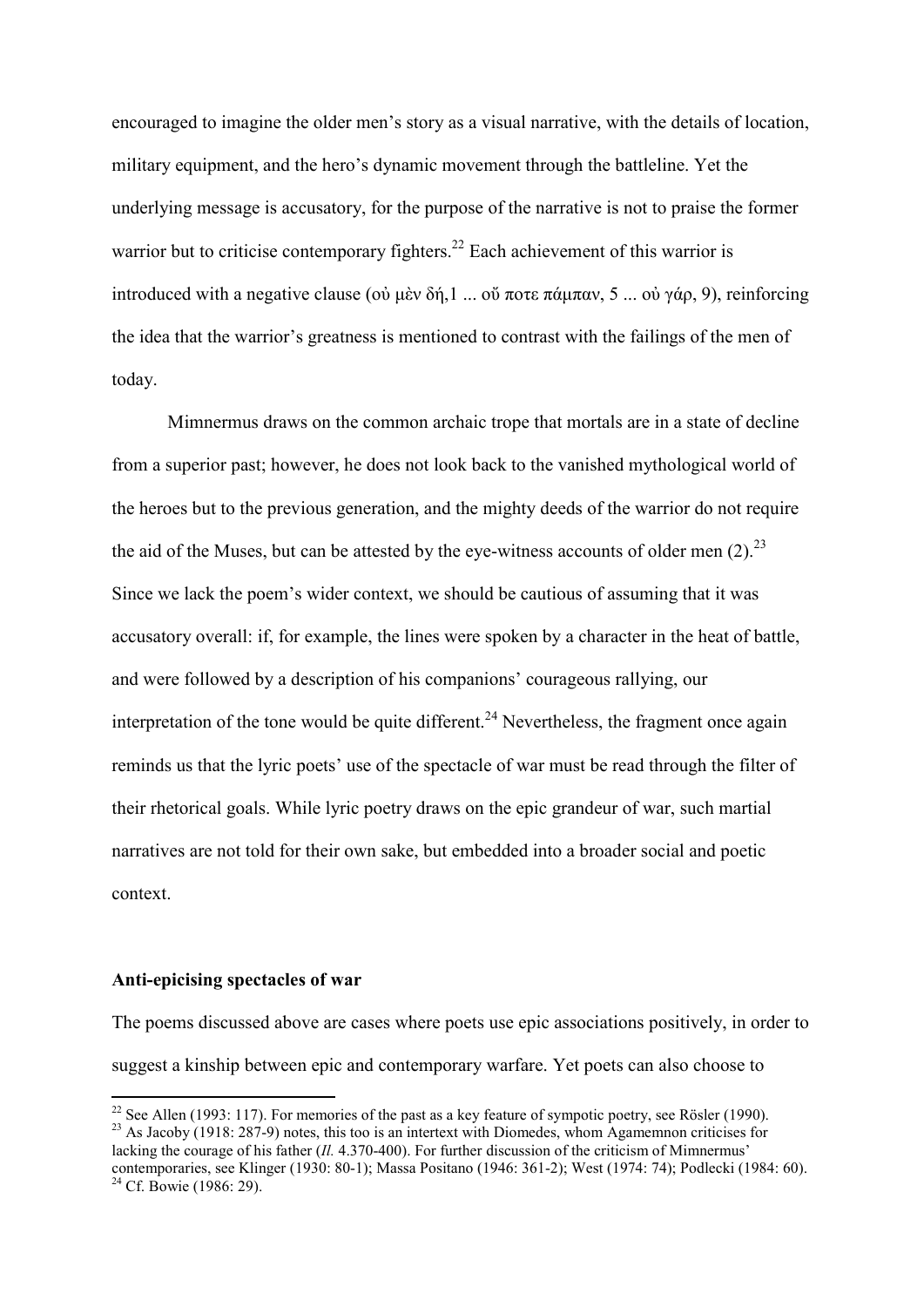encouraged to imagine the older men's story as a visual narrative, with the details of location, military equipment, and the hero's dynamic movement through the battleline. Yet the underlying message is accusatory, for the purpose of the narrative is not to praise the former warrior but to criticise contemporary fighters.<sup>22</sup> Each achievement of this warrior is introduced with a negative clause (οὐ μὲν δή, 1 ... οὔ ποτε πάμπαν, 5 ... οὐ γάρ, 9), reinforcing the idea that the warrior's greatness is mentioned to contrast with the failings of the men of today.

Mimnermus draws on the common archaic trope that mortals are in a state of decline from a superior past; however, he does not look back to the vanished mythological world of the heroes but to the previous generation, and the mighty deeds of the warrior do not require the aid of the Muses, but can be attested by the eye-witness accounts of older men  $(2)$ .<sup>23</sup> Since we lack the poem's wider context, we should be cautious of assuming that it was accusatory overall: if, for example, the lines were spoken by a character in the heat of battle, and were followed by a description of his companions' courageous rallying, our interpretation of the tone would be quite different.<sup>24</sup> Nevertheless, the fragment once again reminds us that the lyric poets' use of the spectacle of war must be read through the filter of their rhetorical goals. While lyric poetry draws on the epic grandeur of war, such martial narratives are not told for their own sake, but embedded into a broader social and poetic context.

#### **Anti-epicising spectacles of war**

-

The poems discussed above are cases where poets use epic associations positively, in order to suggest a kinship between epic and contemporary warfare. Yet poets can also choose to

<sup>23</sup> As Jacoby (1918:  $287-9$ ) notes, this too is an intertext with Diomedes, whom Agamemnon criticises for lacking the courage of his father (*Il.* 4.370-400). For further discussion of the criticism of Mimnermus'

<sup>&</sup>lt;sup>22</sup> See Allen (1993: 117). For memories of the past as a key feature of sympotic poetry, see Rösler (1990).

contemporaries, see Klinger (1930: 80-1); Massa Positano (1946: 361-2); West (1974: 74); Podlecki (1984: 60). <sup>24</sup> Cf. Bowie (1986: 29).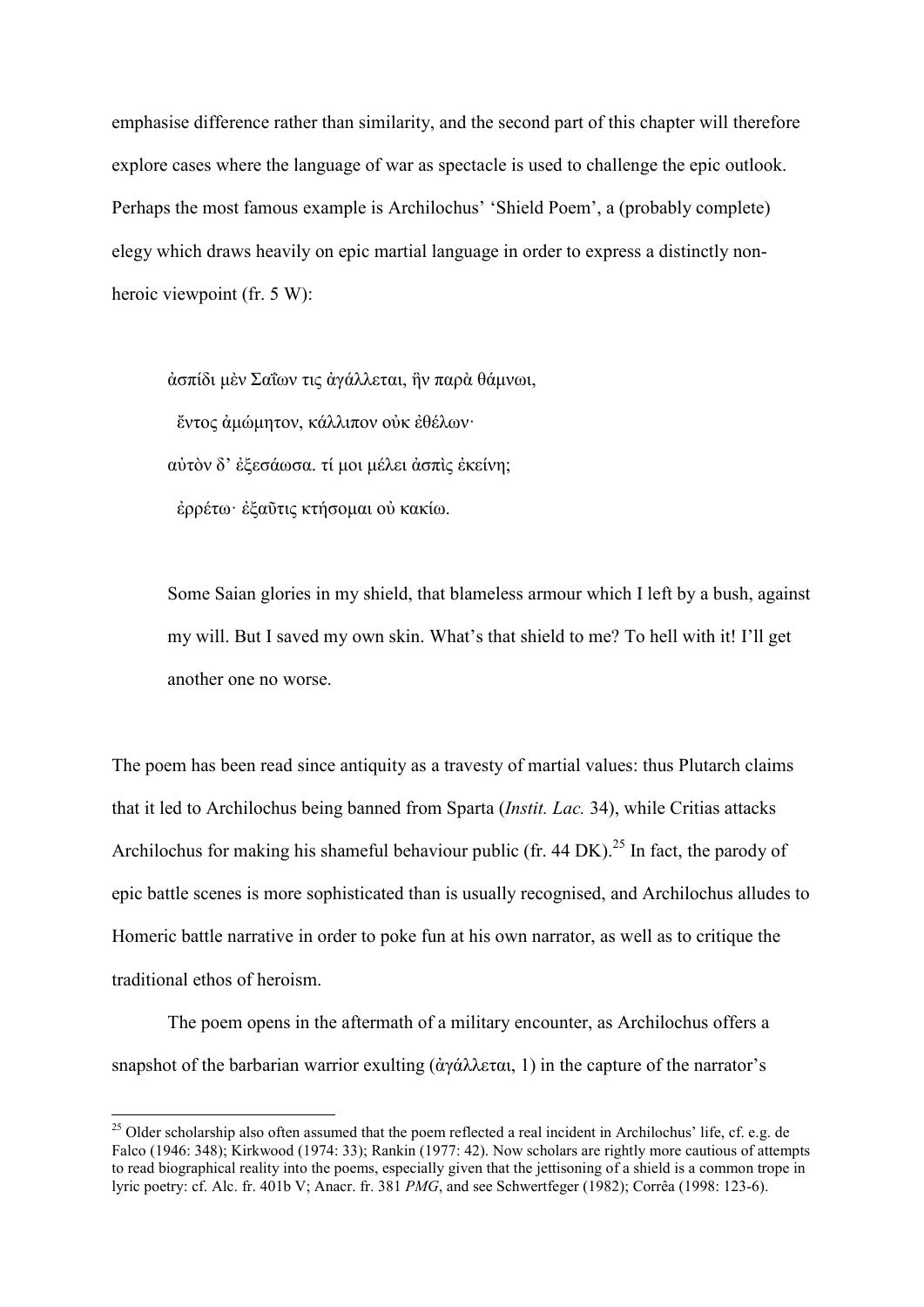emphasise difference rather than similarity, and the second part of this chapter will therefore explore cases where the language of war as spectacle is used to challenge the epic outlook. Perhaps the most famous example is Archilochus' 'Shield Poem', a (probably complete) elegy which draws heavily on epic martial language in order to express a distinctly nonheroic viewpoint (fr. 5 W):

ἀσπίδι µὲν Σαΐων τις ἀγάλλεται, ἣν παρὰ θάµνωι, ἔντος ἀµώµητον, κάλλιπον οὐκ ἐθέλων· αὐτὸν δ' ἐξεσάωσα. τί µοι µέλει ἀσπὶς ἐκείνη; ἐρρέτω· ἐξαῦτις κτήσοµαι οὐ κακίω.

Some Saian glories in my shield, that blameless armour which I left by a bush, against my will. But I saved my own skin. What's that shield to me? To hell with it! I'll get another one no worse.

The poem has been read since antiquity as a travesty of martial values: thus Plutarch claims that it led to Archilochus being banned from Sparta (*Instit. Lac.* 34), while Critias attacks Archilochus for making his shameful behaviour public (fr. 44 DK).<sup>25</sup> In fact, the parody of epic battle scenes is more sophisticated than is usually recognised, and Archilochus alludes to Homeric battle narrative in order to poke fun at his own narrator, as well as to critique the traditional ethos of heroism.

The poem opens in the aftermath of a military encounter, as Archilochus offers a snapshot of the barbarian warrior exulting (ἀγάλλεται, 1) in the capture of the narrator's

<sup>&</sup>lt;sup>25</sup> Older scholarship also often assumed that the poem reflected a real incident in Archilochus' life, cf. e.g. de Falco (1946: 348); Kirkwood (1974: 33); Rankin (1977: 42). Now scholars are rightly more cautious of attempts to read biographical reality into the poems, especially given that the jettisoning of a shield is a common trope in lyric poetry: cf. Alc. fr. 401b V; Anacr. fr. 381 *PMG*, and see Schwertfeger (1982); Corrêa (1998: 123-6).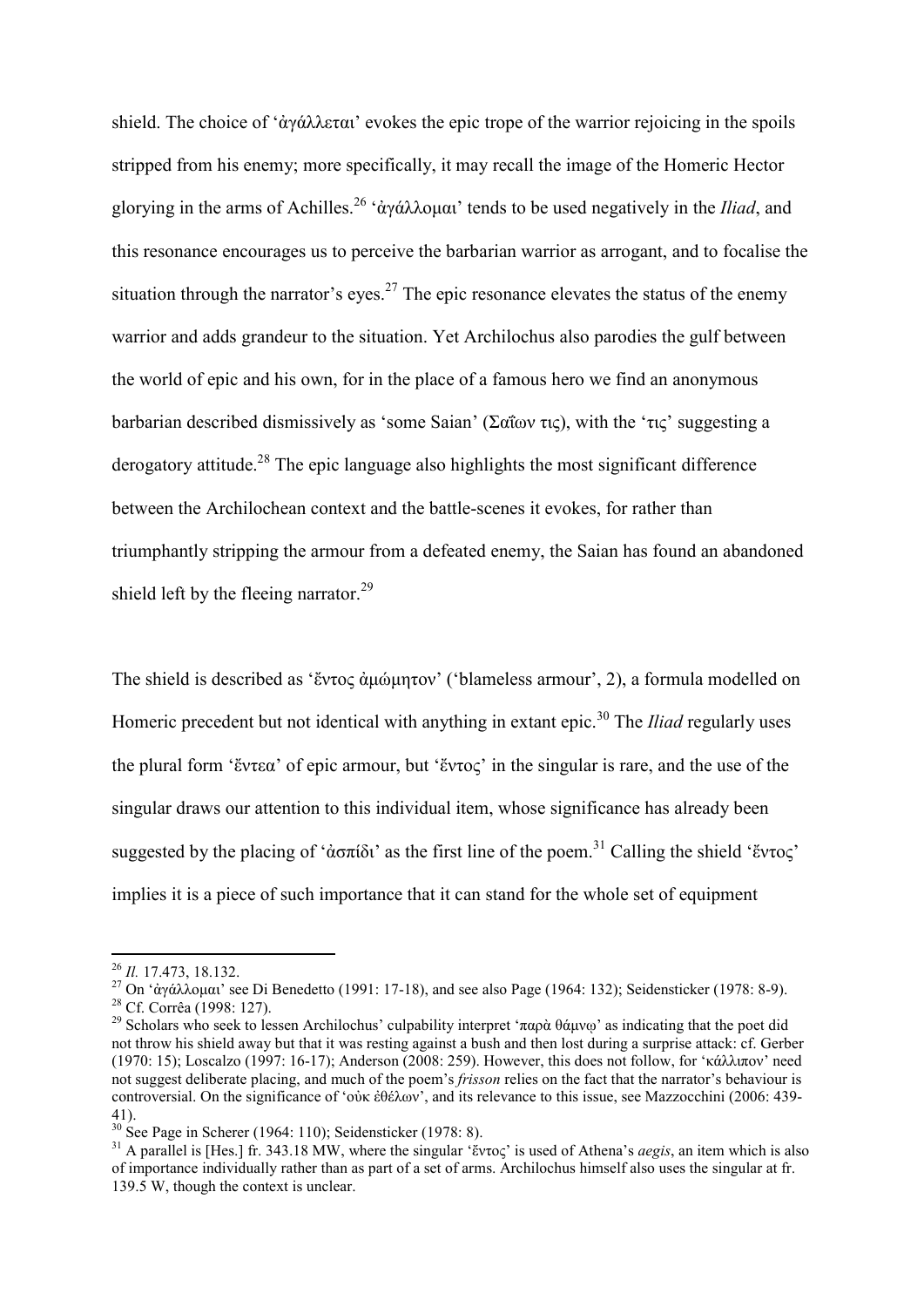shield. The choice of 'ἀγάλλεται' evokes the epic trope of the warrior rejoicing in the spoils stripped from his enemy; more specifically, it may recall the image of the Homeric Hector glorying in the arms of Achilles.<sup>26</sup> 'ἀγάλλοµαι' tends to be used negatively in the *Iliad*, and this resonance encourages us to perceive the barbarian warrior as arrogant, and to focalise the situation through the narrator's eyes.<sup>27</sup> The epic resonance elevates the status of the enemy warrior and adds grandeur to the situation. Yet Archilochus also parodies the gulf between the world of epic and his own, for in the place of a famous hero we find an anonymous barbarian described dismissively as 'some Saian' (Σαΐων τις), with the 'τις' suggesting a derogatory attitude.<sup>28</sup> The epic language also highlights the most significant difference between the Archilochean context and the battle-scenes it evokes, for rather than triumphantly stripping the armour from a defeated enemy, the Saian has found an abandoned shield left by the fleeing narrator. $29$ 

The shield is described as 'ἔντος ἀµώµητον' ('blameless armour', 2), a formula modelled on Homeric precedent but not identical with anything in extant epic.<sup>30</sup> The *Iliad* regularly uses the plural form 'ἔντεα' of epic armour, but 'ἔντος' in the singular is rare, and the use of the singular draws our attention to this individual item, whose significance has already been suggested by the placing of 'άσπίδι' as the first line of the poem.<sup>31</sup> Calling the shield 'έντος' implies it is a piece of such importance that it can stand for the whole set of equipment

<u>.</u>

<sup>26</sup> *Il.* 17.473, 18.132.

<sup>&</sup>lt;sup>27</sup> On 'ἀγάλλομαι' see Di Benedetto (1991: 17-18), and see also Page (1964: 132); Seidensticker (1978: 8-9). <sup>28</sup> Cf. Corrêa (1998: 127).

<sup>&</sup>lt;sup>29</sup> Scholars who seek to lessen Archilochus' culpability interpret 'παρὰ θάμνῳ' as indicating that the poet did not throw his shield away but that it was resting against a bush and then lost during a surprise attack: cf. Gerber (1970: 15); Loscalzo (1997: 16-17); Anderson (2008: 259). However, this does not follow, for 'κάλλιπον' need not suggest deliberate placing, and much of the poem's *frisson* relies on the fact that the narrator's behaviour is controversial. On the significance of 'οὐκ ἐθέλων', and its relevance to this issue, see Mazzocchini (2006: 439- 41).

 $\frac{30}{30}$  See Page in Scherer (1964: 110); Seidensticker (1978: 8).

<sup>31</sup> A parallel is [Hes.] fr. 343.18 MW, where the singular 'ἔντος' is used of Athena's *aegis*, an item which is also of importance individually rather than as part of a set of arms. Archilochus himself also uses the singular at fr. 139.5 W, though the context is unclear.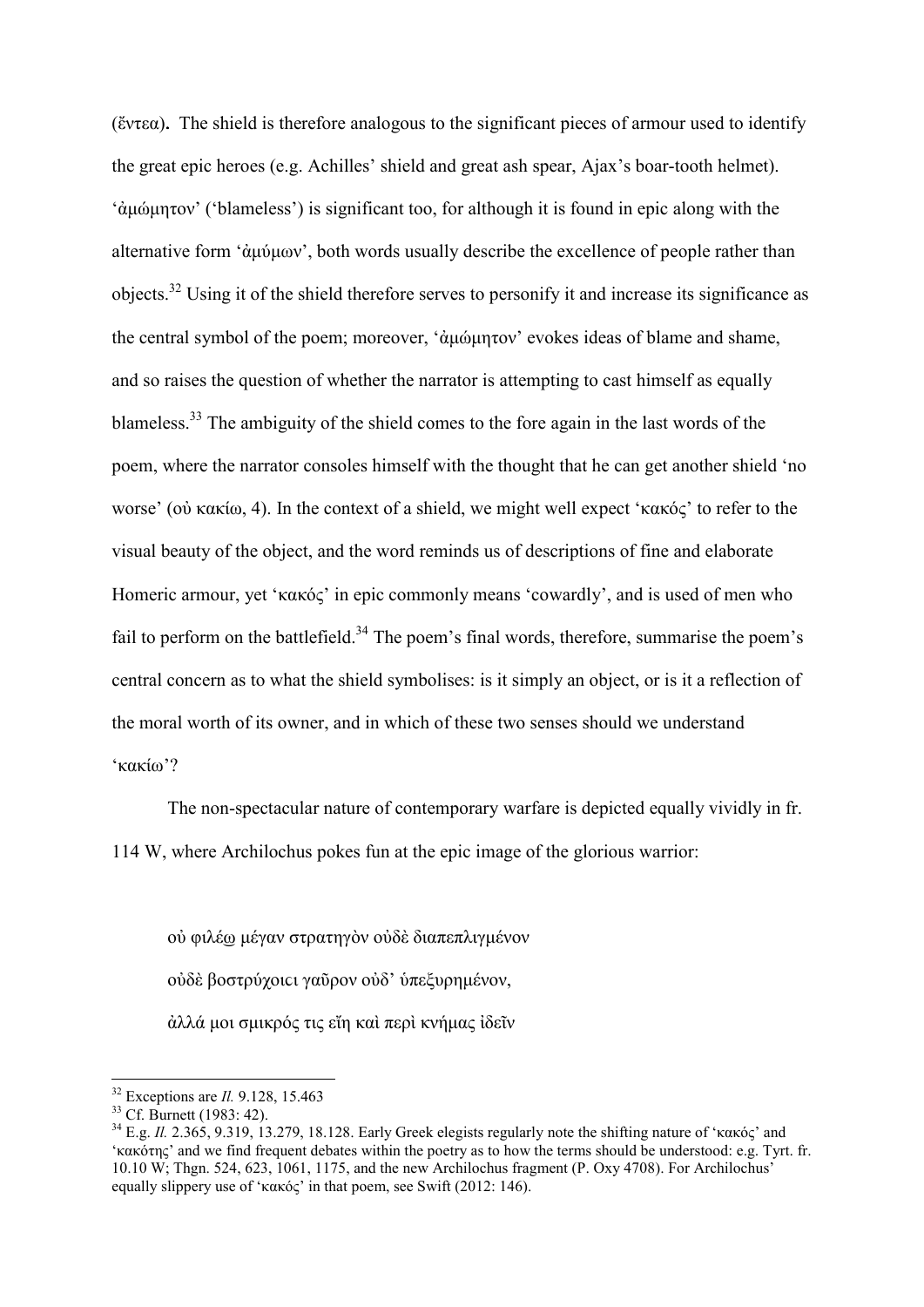(ἔντεα). The shield is therefore analogous to the significant pieces of armour used to identify the great epic heroes (e.g. Achilles' shield and great ash spear, Ajax's boar-tooth helmet). 'ἀµώµητον' ('blameless') is significant too, for although it is found in epic along with the alternative form 'ἀµύµων', both words usually describe the excellence of people rather than objects.<sup>32</sup> Using it of the shield therefore serves to personify it and increase its significance as the central symbol of the poem; moreover, 'ἀµώµητον' evokes ideas of blame and shame, and so raises the question of whether the narrator is attempting to cast himself as equally blameless.<sup>33</sup> The ambiguity of the shield comes to the fore again in the last words of the poem, where the narrator consoles himself with the thought that he can get another shield 'no worse' (οὐ κακίω, 4). In the context of a shield, we might well expect 'κακός' to refer to the visual beauty of the object, and the word reminds us of descriptions of fine and elaborate Homeric armour, yet 'κακός' in epic commonly means 'cowardly', and is used of men who fail to perform on the battlefield.<sup>34</sup> The poem's final words, therefore, summarise the poem's central concern as to what the shield symbolises: is it simply an object, or is it a reflection of the moral worth of its owner, and in which of these two senses should we understand 'κακίω'?

The non-spectacular nature of contemporary warfare is depicted equally vividly in fr. 114 W, where Archilochus pokes fun at the epic image of the glorious warrior:

οὐ φιλέ͜ω µέγαν στρατηγὸν οὐδὲ διαπεπλιγµένον οὐδὲ βοστρύχοιϲι γαῦρον οὐδ' ὑπεξυρηµένον, ἀλλά µοι σµικρός τις εἴη καὶ περὶ κνήµας ἰδεῖν

<sup>32</sup> Exceptions are *Il.* 9.128, 15.463

<sup>&</sup>lt;sup>33</sup> Cf. Burnett (1983: 42).

<sup>34</sup> E.g. *Il.* 2.365, 9.319, 13.279, 18.128. Early Greek elegists regularly note the shifting nature of 'κακός' and 'κακότης' and we find frequent debates within the poetry as to how the terms should be understood: e.g. Tyrt. fr. 10.10 W; Thgn. 524, 623, 1061, 1175, and the new Archilochus fragment (P. Oxy 4708). For Archilochus' equally slippery use of 'κακός' in that poem, see Swift (2012: 146).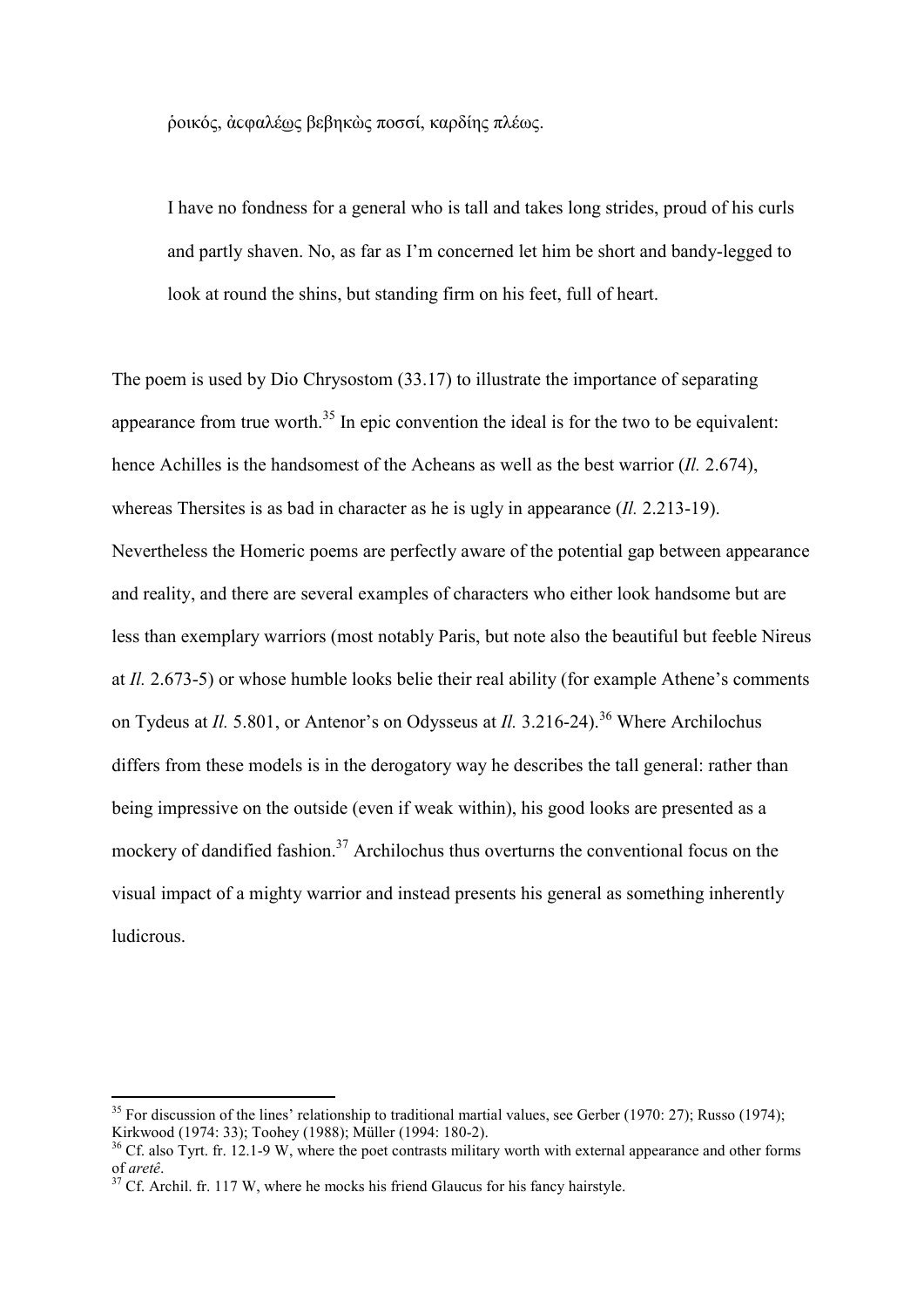ῥοικός, ἀϲφαλέ͜ως βεβηκὼς ποσσί, καρδίης πλέως.

I have no fondness for a general who is tall and takes long strides, proud of his curls and partly shaven. No, as far as I'm concerned let him be short and bandy-legged to look at round the shins, but standing firm on his feet, full of heart.

The poem is used by Dio Chrysostom (33.17) to illustrate the importance of separating appearance from true worth.<sup>35</sup> In epic convention the ideal is for the two to be equivalent: hence Achilles is the handsomest of the Acheans as well as the best warrior (*Il.* 2.674), whereas Thersites is as bad in character as he is ugly in appearance (*Il.* 2.213-19). Nevertheless the Homeric poems are perfectly aware of the potential gap between appearance and reality, and there are several examples of characters who either look handsome but are less than exemplary warriors (most notably Paris, but note also the beautiful but feeble Nireus at *Il.* 2.673-5) or whose humble looks belie their real ability (for example Athene's comments on Tydeus at *Il.* 5.801, or Antenor's on Odysseus at *Il.* 3.216-24).<sup>36</sup> Where Archilochus differs from these models is in the derogatory way he describes the tall general: rather than being impressive on the outside (even if weak within), his good looks are presented as a mockery of dandified fashion.<sup>37</sup> Archilochus thus overturns the conventional focus on the visual impact of a mighty warrior and instead presents his general as something inherently ludicrous.

<sup>&</sup>lt;sup>35</sup> For discussion of the lines' relationship to traditional martial values, see Gerber (1970: 27); Russo (1974); Kirkwood (1974: 33); Toohey (1988); Müller (1994: 180-2).

<sup>&</sup>lt;sup>36</sup> Cf. also Tyrt. fr. 12.1-9 W, where the poet contrasts military worth with external appearance and other forms of *aretê*.

 $37$  Cf. Archil. fr. 117 W, where he mocks his friend Glaucus for his fancy hairstyle.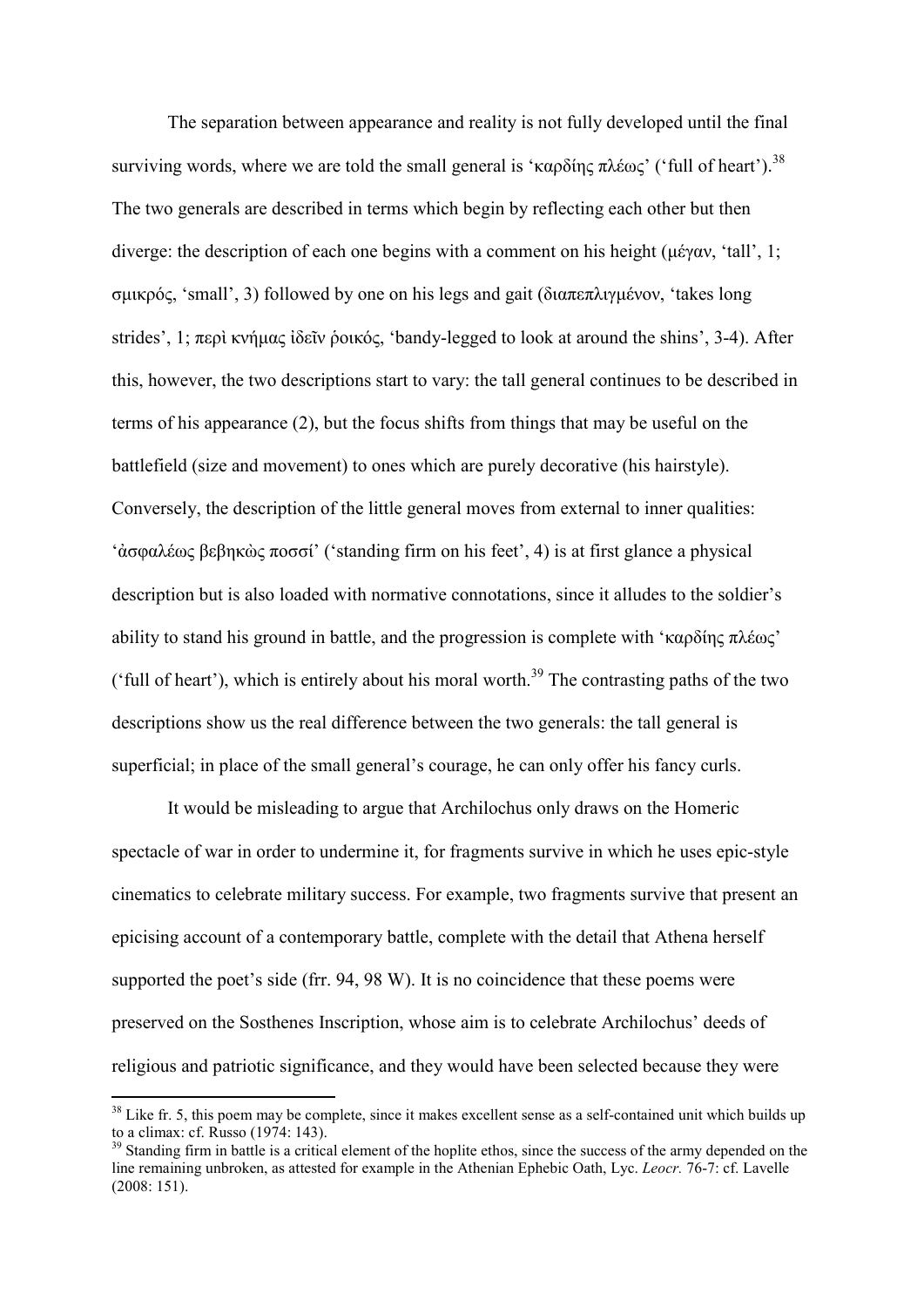The separation between appearance and reality is not fully developed until the final surviving words, where we are told the small general is 'καρδίης πλέως' ('full of heart').<sup>38</sup> The two generals are described in terms which begin by reflecting each other but then diverge: the description of each one begins with a comment on his height ( $\mu \acute{\epsilon}$ γαν, 'tall', 1; σµικρός, 'small', 3) followed by one on his legs and gait (διαπεπλιγµένον, 'takes long strides', 1; περὶ κνήµας ἰδεῖν ῥοικός, 'bandy-legged to look at around the shins', 3-4). After this, however, the two descriptions start to vary: the tall general continues to be described in terms of his appearance (2), but the focus shifts from things that may be useful on the battlefield (size and movement) to ones which are purely decorative (his hairstyle). Conversely, the description of the little general moves from external to inner qualities: 'ἀσφαλέως βεβηκὼς ποσσί' ('standing firm on his feet', 4) is at first glance a physical description but is also loaded with normative connotations, since it alludes to the soldier's ability to stand his ground in battle, and the progression is complete with 'καρδίης πλέως' ('full of heart'), which is entirely about his moral worth.<sup>39</sup> The contrasting paths of the two descriptions show us the real difference between the two generals: the tall general is superficial; in place of the small general's courage, he can only offer his fancy curls.

It would be misleading to argue that Archilochus only draws on the Homeric spectacle of war in order to undermine it, for fragments survive in which he uses epic-style cinematics to celebrate military success. For example, two fragments survive that present an epicising account of a contemporary battle, complete with the detail that Athena herself supported the poet's side (frr. 94, 98 W). It is no coincidence that these poems were preserved on the Sosthenes Inscription, whose aim is to celebrate Archilochus' deeds of religious and patriotic significance, and they would have been selected because they were

 $38$  Like fr. 5, this poem may be complete, since it makes excellent sense as a self-contained unit which builds up to a climax: cf. Russo (1974: 143).

 $39$  Standing firm in battle is a critical element of the hoplite ethos, since the success of the army depended on the line remaining unbroken, as attested for example in the Athenian Ephebic Oath, Lyc. *Leocr.* 76-7: cf. Lavelle (2008: 151).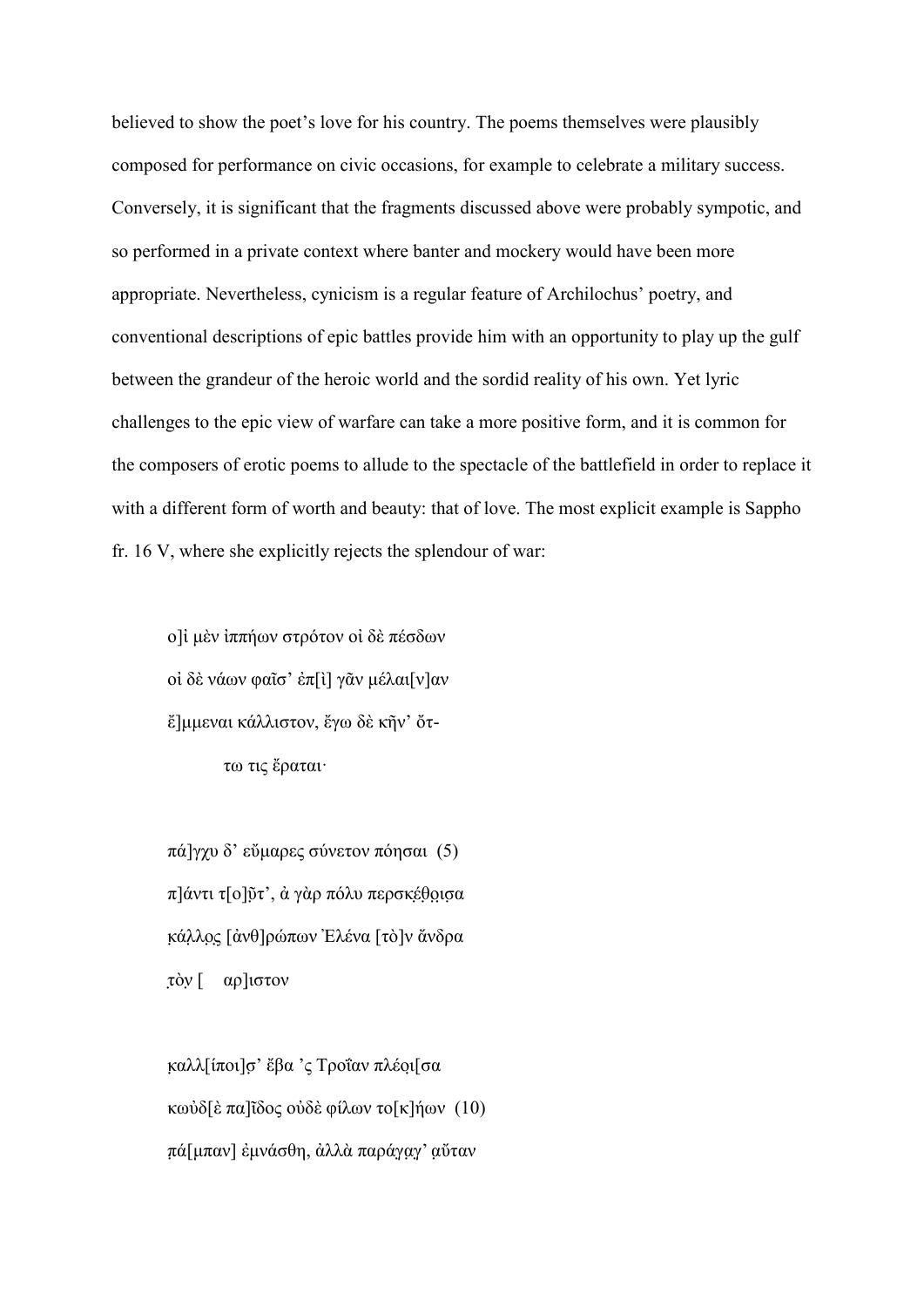believed to show the poet's love for his country. The poems themselves were plausibly composed for performance on civic occasions, for example to celebrate a military success. Conversely, it is significant that the fragments discussed above were probably sympotic, and so performed in a private context where banter and mockery would have been more appropriate. Nevertheless, cynicism is a regular feature of Archilochus' poetry, and conventional descriptions of epic battles provide him with an opportunity to play up the gulf between the grandeur of the heroic world and the sordid reality of his own. Yet lyric challenges to the epic view of warfare can take a more positive form, and it is common for the composers of erotic poems to allude to the spectacle of the battlefield in order to replace it with a different form of worth and beauty: that of love. The most explicit example is Sappho fr. 16 V, where she explicitly rejects the splendour of war:

ο]ἰ µὲν ἰππήων στρότον οἰ δὲ πέσδων οἰ δὲ νάων φαῖσ' ἐπ[ὶ] γᾶν µέλαι[ν]αν ἔ]µµεναι κάλλιστον, ἔγω δὲ κῆν' ὄττω τις ἔραται·

πά]γχυ δ' εὔµαρες σύνετον πόησαι (5)  $\pi$ ]άντι τ[ο]ῦτ', ἀ γὰρ πόλυ περσκέθοισα κάλλος [ἀνθ]ρώπων Ἐλένα [τὸ]ν ἄνδρα τὸν [ αρ]ιστον

καλλ[ίποι]σ' ἔβα 'ς Τροΐαν πλέοι[σα κωὐδ[ὲ πα]ῖδος οὐδὲ φίλων το[κ]ήων (10) πά[μπαν] έμνάσθη, άλλὰ παράγαγ' αύταν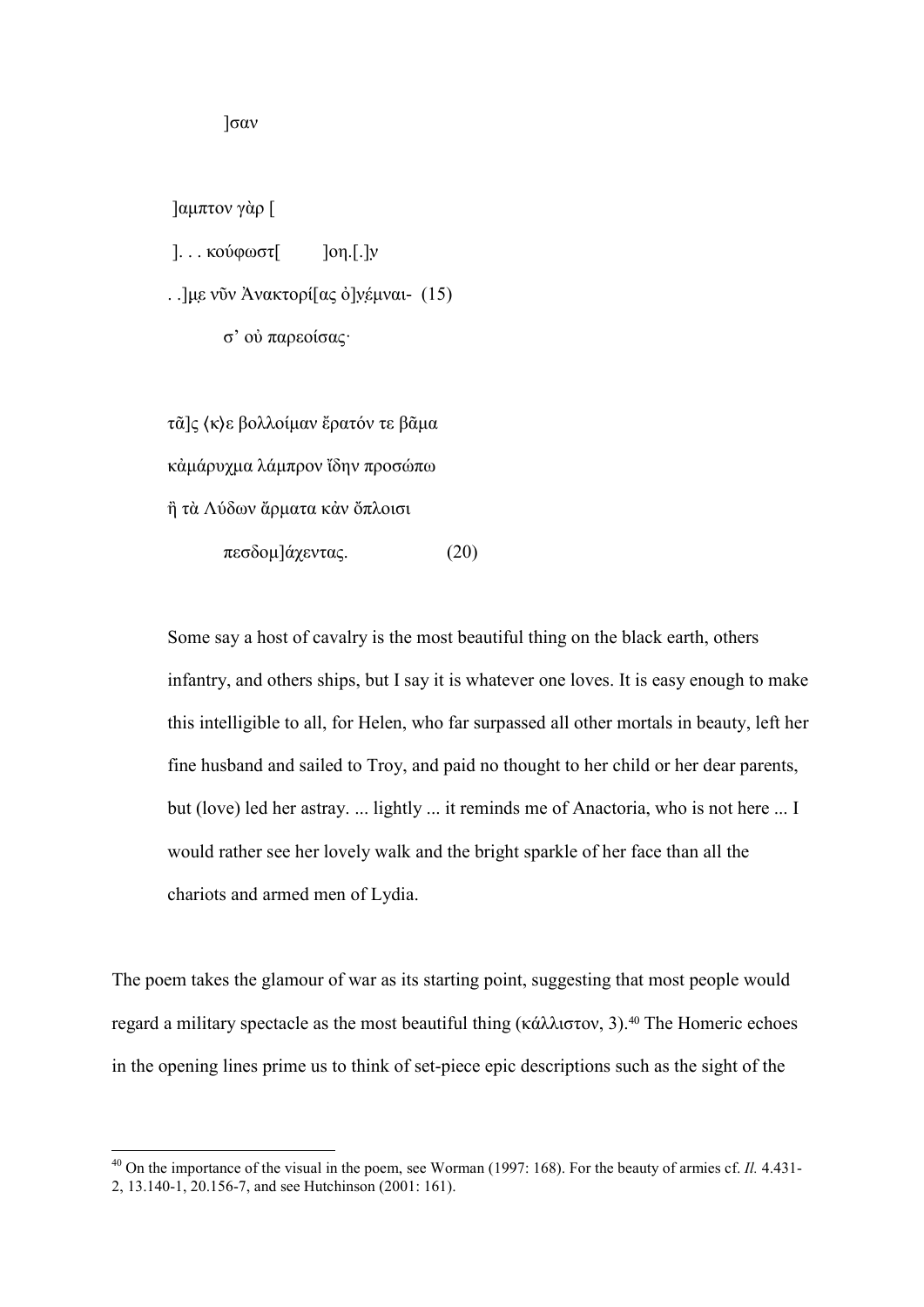]σαν

]αµπτον γὰρ [

-

]... κούφωστ $\begin{bmatrix} \text{lon.} \text{cv} \end{bmatrix}$ 

. .]µ̣ε̣ νῦν Ἀνακτορί[ας ὀ]ν̣έ̣µναι- (15)

σ' οὐ παρεοίσας·

τᾶ]ς ⟨κ⟩ε βολλοίµαν ἔρατόν τε βᾶµα κἀµάρυχµα λάµπρον ἴδην προσώπω

ἢ τὰ Λύδων ἄρµατα κἀν ὄπλοισι

πεσδοµ]άχεντας. (20)

Some say a host of cavalry is the most beautiful thing on the black earth, others infantry, and others ships, but I say it is whatever one loves. It is easy enough to make this intelligible to all, for Helen, who far surpassed all other mortals in beauty, left her fine husband and sailed to Troy, and paid no thought to her child or her dear parents, but (love) led her astray. ... lightly ... it reminds me of Anactoria, who is not here ... I would rather see her lovely walk and the bright sparkle of her face than all the chariots and armed men of Lydia.

The poem takes the glamour of war as its starting point, suggesting that most people would regard a military spectacle as the most beautiful thing (κάλλιστον, 3).<sup>40</sup> The Homeric echoes in the opening lines prime us to think of set-piece epic descriptions such as the sight of the

<sup>40</sup> On the importance of the visual in the poem, see Worman (1997: 168). For the beauty of armies cf. *Il.* 4.431- 2, 13.140-1, 20.156-7, and see Hutchinson (2001: 161).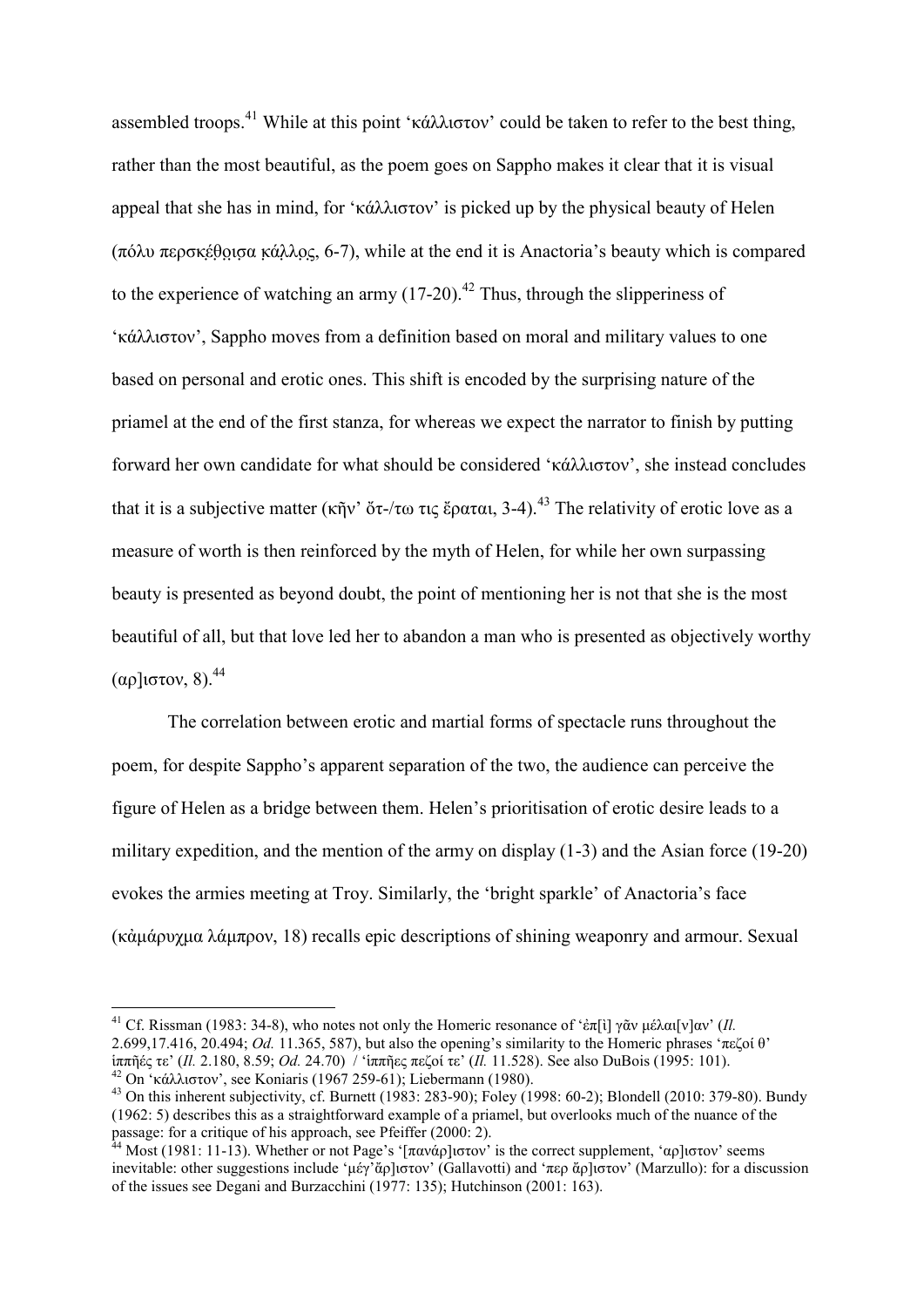assembled troops.<sup>41</sup> While at this point 'κάλλιστον' could be taken to refer to the best thing, rather than the most beautiful, as the poem goes on Sappho makes it clear that it is visual appeal that she has in mind, for 'κάλλιστον' is picked up by the physical beauty of Helen (πόλυ περσκέθοισα κάλλος, 6-7), while at the end it is Anactoria's beauty which is compared to the experience of watching an army  $(17-20)$ .<sup>42</sup> Thus, through the slipperiness of 'κάλλιστον', Sappho moves from a definition based on moral and military values to one based on personal and erotic ones. This shift is encoded by the surprising nature of the priamel at the end of the first stanza, for whereas we expect the narrator to finish by putting forward her own candidate for what should be considered 'κάλλιστον', she instead concludes that it is a subjective matter (κῆν' ὅτ-/τω τις ἔραται, 3-4).<sup>43</sup> The relativity of erotic love as a measure of worth is then reinforced by the myth of Helen, for while her own surpassing beauty is presented as beyond doubt, the point of mentioning her is not that she is the most beautiful of all, but that love led her to abandon a man who is presented as objectively worthy (αρ]ιστον, 8). $^{44}$ 

The correlation between erotic and martial forms of spectacle runs throughout the poem, for despite Sappho's apparent separation of the two, the audience can perceive the figure of Helen as a bridge between them. Helen's prioritisation of erotic desire leads to a military expedition, and the mention of the army on display (1-3) and the Asian force (19-20) evokes the armies meeting at Troy. Similarly, the 'bright sparkle' of Anactoria's face (κἀµάρυχµα λάµπρον, 18) recalls epic descriptions of shining weaponry and armour. Sexual

<sup>&</sup>lt;sup>41</sup> Cf. Rissman (1983: 34-8), who notes not only the Homeric resonance of 'ἐπ[ὶ] γᾶν μέλαι[ν]αν' (*Il.* 2.699,17.416, 20.494; *Od.* 11.365, 587), but also the opening's similarity to the Homeric phrases 'πεζοί θ' ἱππῆές τε' (*Il.* 2.180, 8.59; *Od.* 24.70) / 'ἱππῆες πεζοί τε' (*Il.* 11.528). See also DuBois (1995: 101). <sup>42</sup> On 'κάλλιστον', see Koniaris (1967 259-61); Liebermann (1980).

<sup>&</sup>lt;sup>43</sup> On this inherent subjectivity, cf. Burnett (1983: 283-90); Foley (1998: 60-2); Blondell (2010: 379-80). Bundy (1962: 5) describes this as a straightforward example of a priamel, but overlooks much of the nuance of the passage: for a critique of his approach, see Pfeiffer (2000: 2).

<sup>&</sup>lt;sup>44</sup> Most (1981: 11-13). Whether or not Page's '[πανάρ]ιστον' is the correct supplement, 'αρ]ιστον' seems inevitable: other suggestions include 'µέγ'ἄρ]ιστον' (Gallavotti) and 'περ ἄρ]ιστον' (Marzullo): for a discussion of the issues see Degani and Burzacchini (1977: 135); Hutchinson (2001: 163).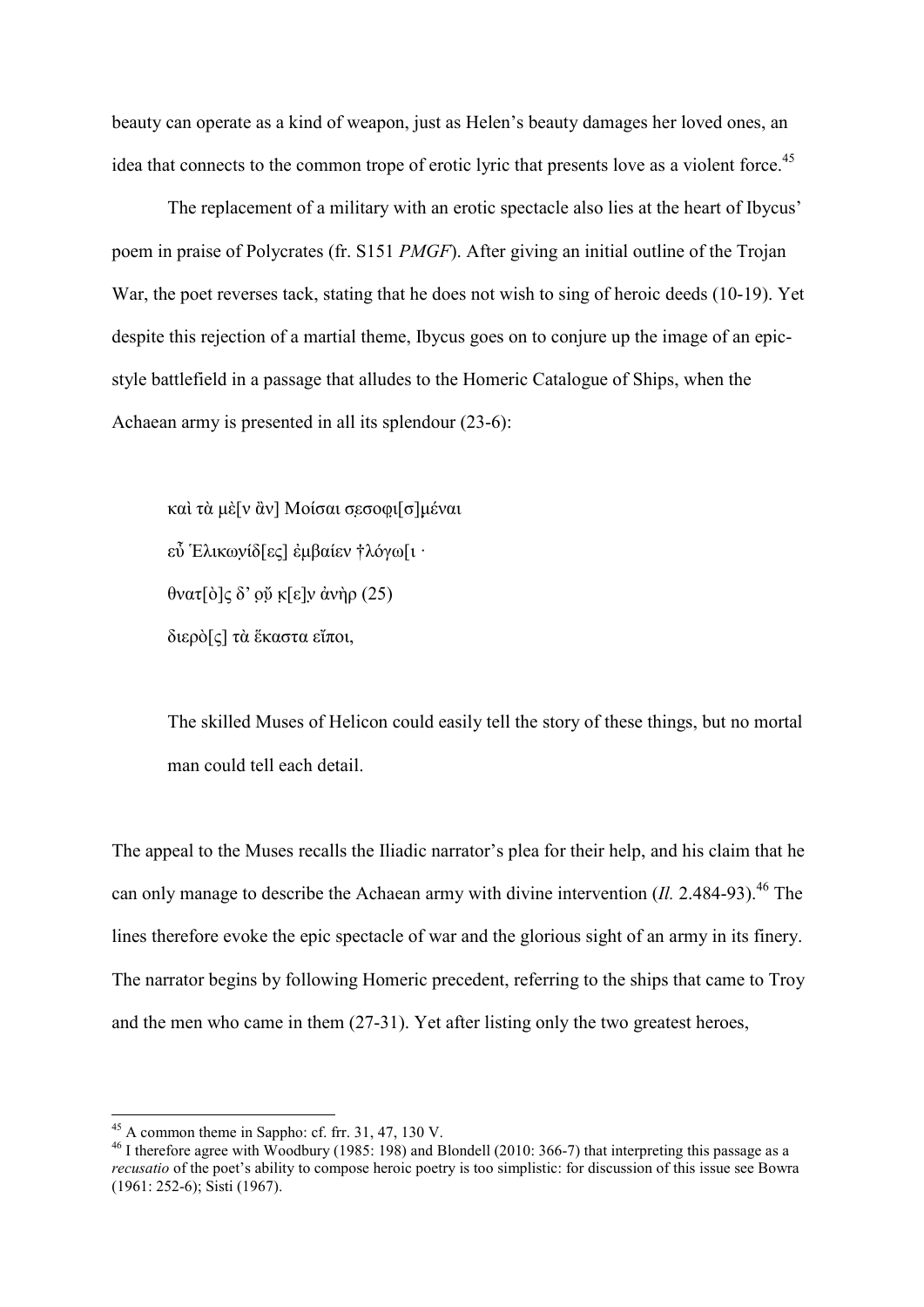beauty can operate as a kind of weapon, just as Helen's beauty damages her loved ones, an idea that connects to the common trope of erotic lyric that presents love as a violent force.<sup>45</sup>

The replacement of a military with an erotic spectacle also lies at the heart of Ibycus' poem in praise of Polycrates (fr. S151 *PMGF*). After giving an initial outline of the Trojan War, the poet reverses tack, stating that he does not wish to sing of heroic deeds (10-19). Yet despite this rejection of a martial theme, Ibycus goes on to conjure up the image of an epicstyle battlefield in a passage that alludes to the Homeric Catalogue of Ships, when the Achaean army is presented in all its splendour (23-6):

καὶ τὰ μὲ[ν ἂν] Μοίσαι σεσοφι[σ]μέναι εὖ Ἑλικων̣ίδ[ες] ἐµβαίεν †λόγω[ι ·  $\theta$ νατ[ὸ]ς δ' οὔ κ[ε]ν ἀνὴρ (25) διερὸ[ς] τὰ ἕκαστα εἴποι,

The skilled Muses of Helicon could easily tell the story of these things, but no mortal man could tell each detail.

The appeal to the Muses recalls the Iliadic narrator's plea for their help, and his claim that he can only manage to describe the Achaean army with divine intervention (*Il.* 2.484-93).<sup>46</sup> The lines therefore evoke the epic spectacle of war and the glorious sight of an army in its finery. The narrator begins by following Homeric precedent, referring to the ships that came to Troy and the men who came in them (27-31). Yet after listing only the two greatest heroes,

 $45$  A common theme in Sappho: cf. frr. 31, 47, 130 V.

<sup>&</sup>lt;sup>46</sup> I therefore agree with Woodbury (1985: 198) and Blondell (2010: 366-7) that interpreting this passage as a *recusatio* of the poet's ability to compose heroic poetry is too simplistic: for discussion of this issue see Bowra (1961: 252-6); Sisti (1967).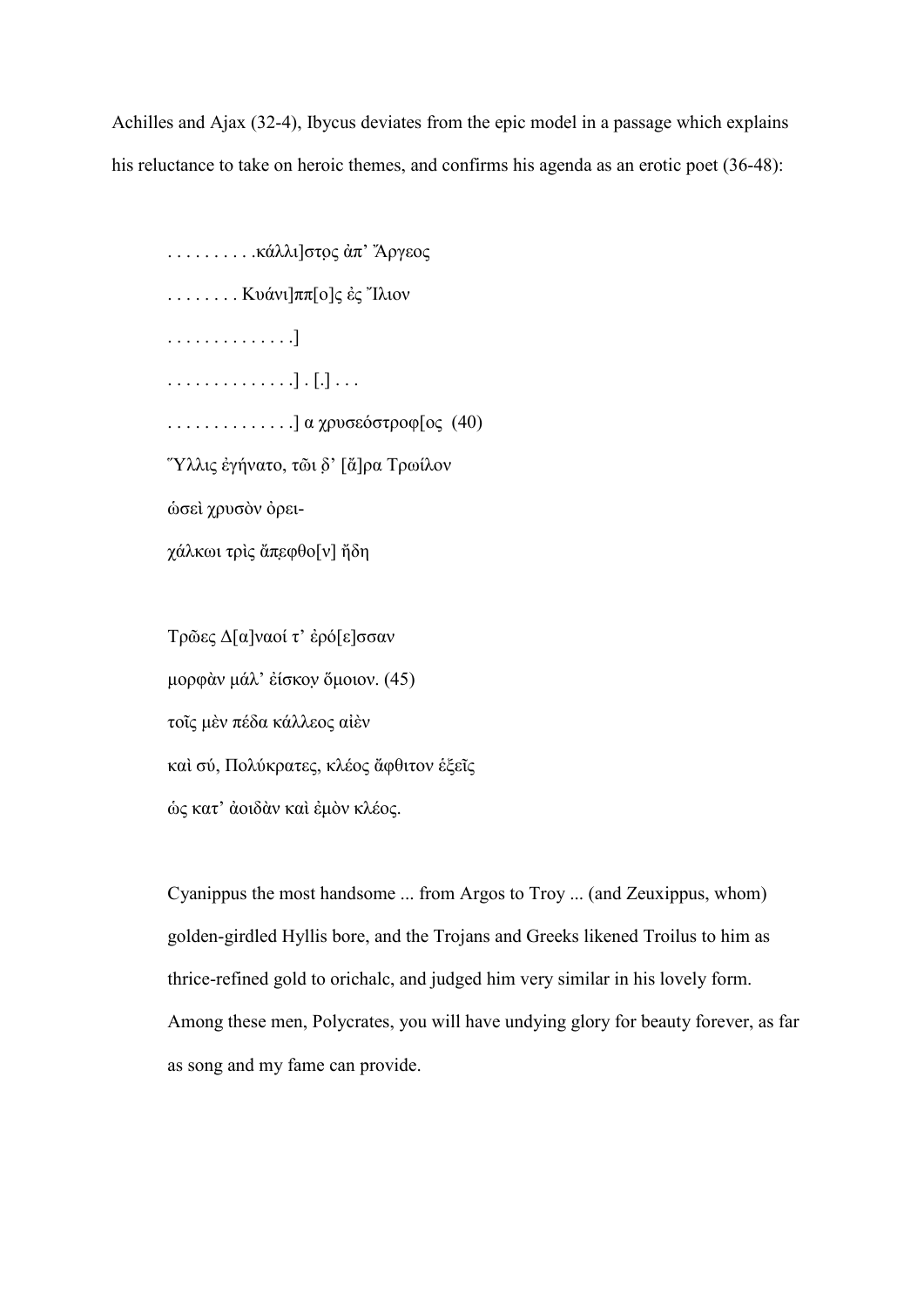Achilles and Ajax (32-4), Ibycus deviates from the epic model in a passage which explains his reluctance to take on heroic themes, and confirms his agenda as an erotic poet (36-48):

. . . . . . . . . .κάλλι]στο̣ς ἀπ' Ἄργεος . . . . . . . . Κυάνι]ππ[ο]ς ἐς Ἴλιον . . . . . . . . . . . . . .] . . . . . . . . . . . . . .] . [.] . . . . . . . . . . . . . . . . .] α χρυσεόστροφ[ος (40) Ὕλλις ἐγήνατο, τῶι δ̣' [ἄ]ρα Τρωίλον ὡσεὶ χρυσὸν ὀρειχάλκωι τρὶς ἄπε̣φθο[ν] ἤδη

Τρῶες ∆[α]ναοί τ' ἐρό[ε]σσαν

µορφὰν µάλ' ἐίσκον̣ ὅµοιον. (45)

τοῖς µὲν πέδα κάλλεος αἰὲν

καὶ σύ, Πολύκρατες, κλέος ἄφθιτον ἑξεῖς

ὡς κατ' ἀοιδὰν καὶ ἐµὸν κλέος.

Cyanippus the most handsome ... from Argos to Troy ... (and Zeuxippus, whom) golden-girdled Hyllis bore, and the Trojans and Greeks likened Troilus to him as thrice-refined gold to orichalc, and judged him very similar in his lovely form. Among these men, Polycrates, you will have undying glory for beauty forever, as far as song and my fame can provide.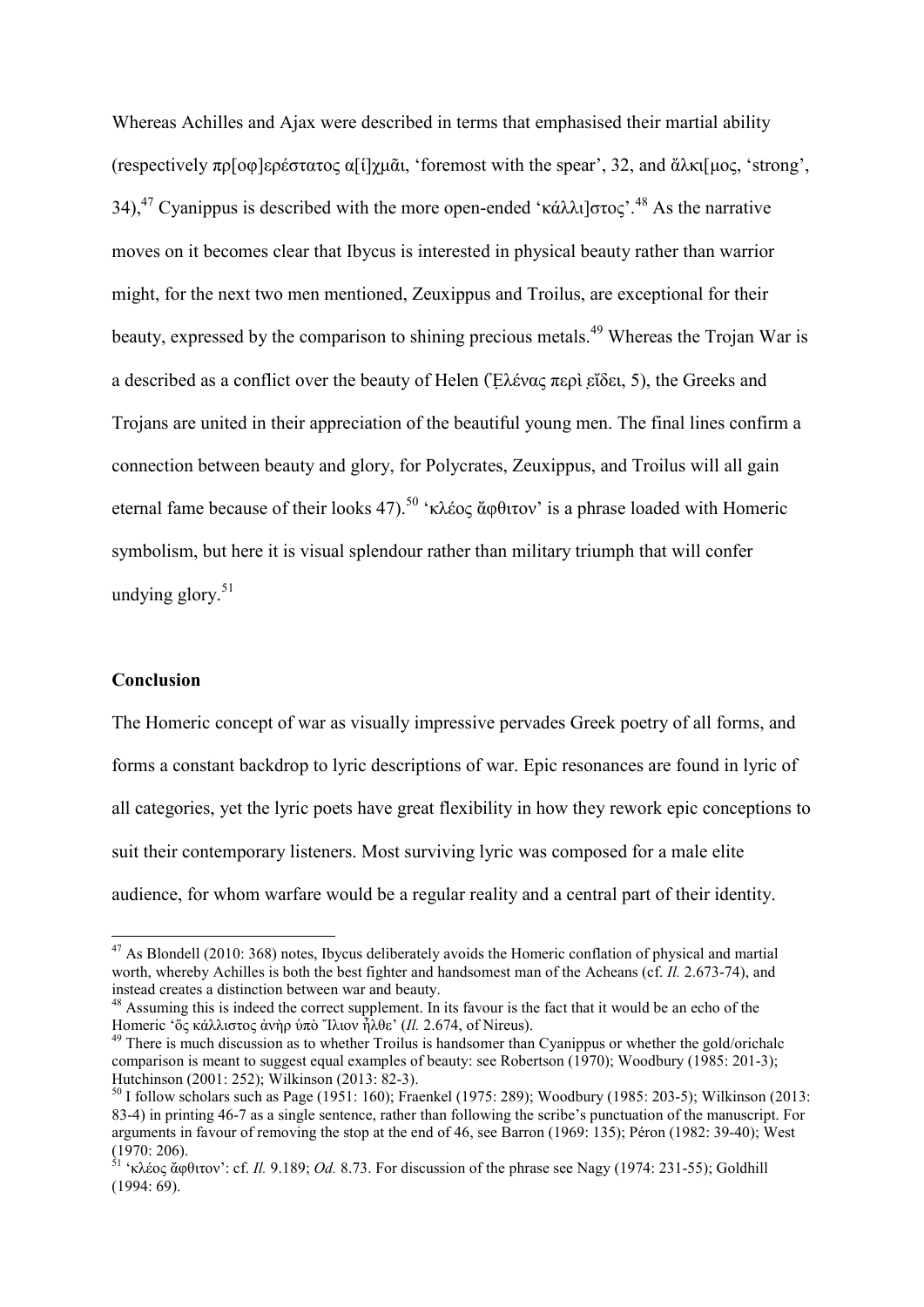Whereas Achilles and Ajax were described in terms that emphasised their martial ability (respectively πρ[οφ]ερέστατος α[ί]χµᾶι, 'foremost with the spear', 32, and ἄλκι[µος, 'strong', 34),<sup>47</sup> Cyanippus is described with the more open-ended 'κάλλι]στος'.<sup>48</sup> As the narrative moves on it becomes clear that Ibycus is interested in physical beauty rather than warrior might, for the next two men mentioned, Zeuxippus and Troilus, are exceptional for their beauty, expressed by the comparison to shining precious metals.<sup>49</sup> Whereas the Trojan War is a described as a conflict over the beauty of Helen (Ἑλένας περὶ εἴδει, 5), the Greeks and Trojans are united in their appreciation of the beautiful young men. The final lines confirm a connection between beauty and glory, for Polycrates, Zeuxippus, and Troilus will all gain eternal fame because of their looks 47).<sup>50</sup> 'κλέος ἄφθιτον' is a phrase loaded with Homeric symbolism, but here it is visual splendour rather than military triumph that will confer undying glory.<sup>51</sup>

## **Conclusion**

-

The Homeric concept of war as visually impressive pervades Greek poetry of all forms, and forms a constant backdrop to lyric descriptions of war. Epic resonances are found in lyric of all categories, yet the lyric poets have great flexibility in how they rework epic conceptions to suit their contemporary listeners. Most surviving lyric was composed for a male elite audience, for whom warfare would be a regular reality and a central part of their identity.

 $47$  As Blondell (2010: 368) notes, Ibycus deliberately avoids the Homeric conflation of physical and martial worth, whereby Achilles is both the best fighter and handsomest man of the Acheans (cf. *Il.* 2.673-74), and instead creates a distinction between war and beauty.

<sup>&</sup>lt;sup>48</sup> Assuming this is indeed the correct supplement. In its favour is the fact that it would be an echo of the Homeric 'ὅς κάλλιστος ἀνὴρ ὑπὸ Ἴλιον ἦλθε' (*Il.* 2.674, of Nireus).

<sup>&</sup>lt;sup>49</sup> There is much discussion as to whether Troilus is handsomer than Cyanippus or whether the gold/orichalc comparison is meant to suggest equal examples of beauty: see Robertson (1970); Woodbury (1985: 201-3); Hutchinson (2001: 252); Wilkinson (2013: 82-3).

 $50$  I follow scholars such as Page (1951: 160); Fraenkel (1975: 289); Woodbury (1985: 203-5); Wilkinson (2013: 83-4) in printing 46-7 as a single sentence, rather than following the scribe's punctuation of the manuscript. For arguments in favour of removing the stop at the end of 46, see Barron (1969: 135); Péron (1982: 39-40); West (1970: 206).

<sup>51</sup> 'κλέος ἄφθιτον': cf. *Il.* 9.189; *Od.* 8.73. For discussion of the phrase see Nagy (1974: 231-55); Goldhill  $(1994: 69)$ .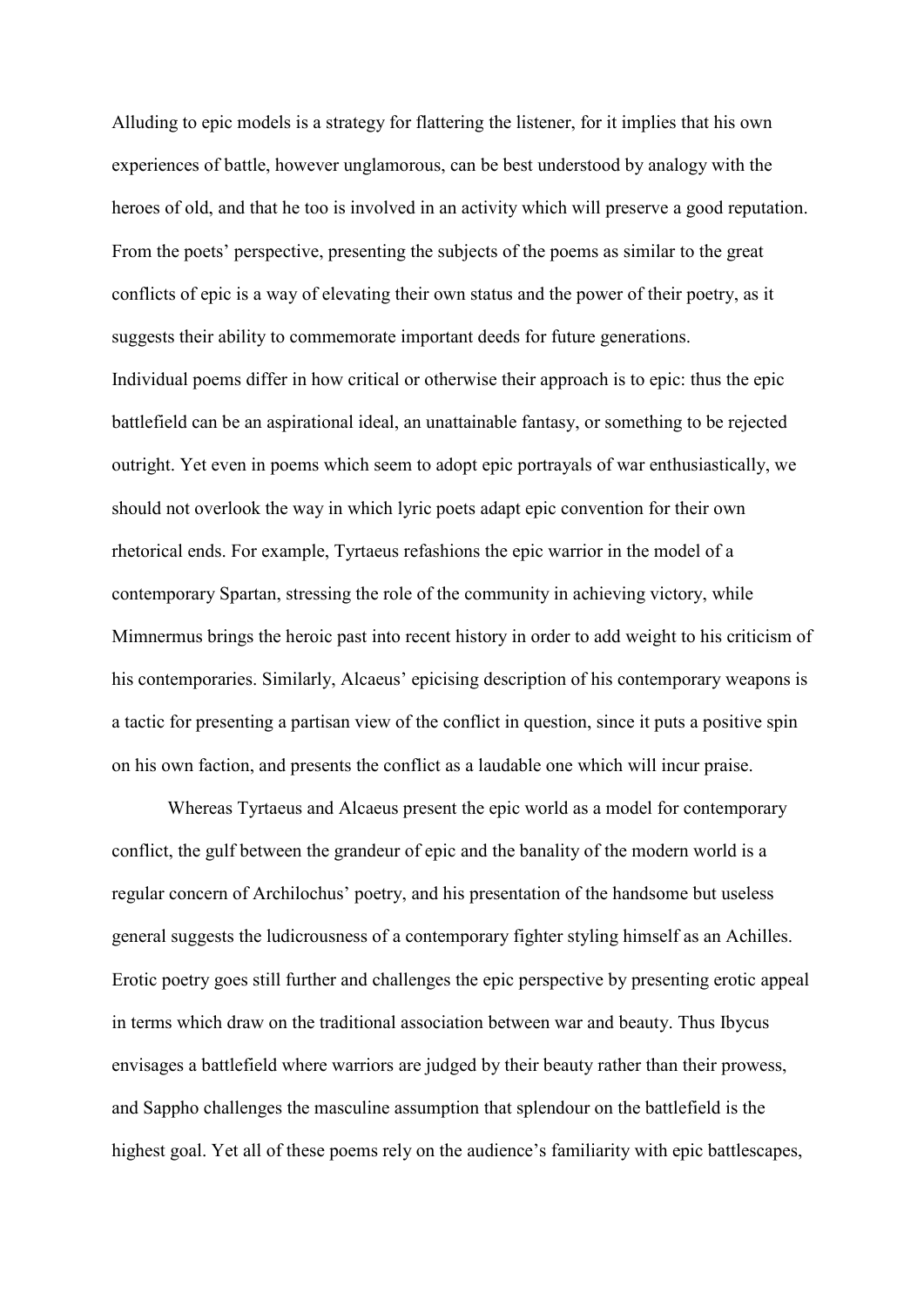Alluding to epic models is a strategy for flattering the listener, for it implies that his own experiences of battle, however unglamorous, can be best understood by analogy with the heroes of old, and that he too is involved in an activity which will preserve a good reputation. From the poets' perspective, presenting the subjects of the poems as similar to the great conflicts of epic is a way of elevating their own status and the power of their poetry, as it suggests their ability to commemorate important deeds for future generations. Individual poems differ in how critical or otherwise their approach is to epic: thus the epic battlefield can be an aspirational ideal, an unattainable fantasy, or something to be rejected outright. Yet even in poems which seem to adopt epic portrayals of war enthusiastically, we should not overlook the way in which lyric poets adapt epic convention for their own rhetorical ends. For example, Tyrtaeus refashions the epic warrior in the model of a contemporary Spartan, stressing the role of the community in achieving victory, while Mimnermus brings the heroic past into recent history in order to add weight to his criticism of his contemporaries. Similarly, Alcaeus' epicising description of his contemporary weapons is a tactic for presenting a partisan view of the conflict in question, since it puts a positive spin on his own faction, and presents the conflict as a laudable one which will incur praise.

Whereas Tyrtaeus and Alcaeus present the epic world as a model for contemporary conflict, the gulf between the grandeur of epic and the banality of the modern world is a regular concern of Archilochus' poetry, and his presentation of the handsome but useless general suggests the ludicrousness of a contemporary fighter styling himself as an Achilles. Erotic poetry goes still further and challenges the epic perspective by presenting erotic appeal in terms which draw on the traditional association between war and beauty. Thus Ibycus envisages a battlefield where warriors are judged by their beauty rather than their prowess, and Sappho challenges the masculine assumption that splendour on the battlefield is the highest goal. Yet all of these poems rely on the audience's familiarity with epic battlescapes,